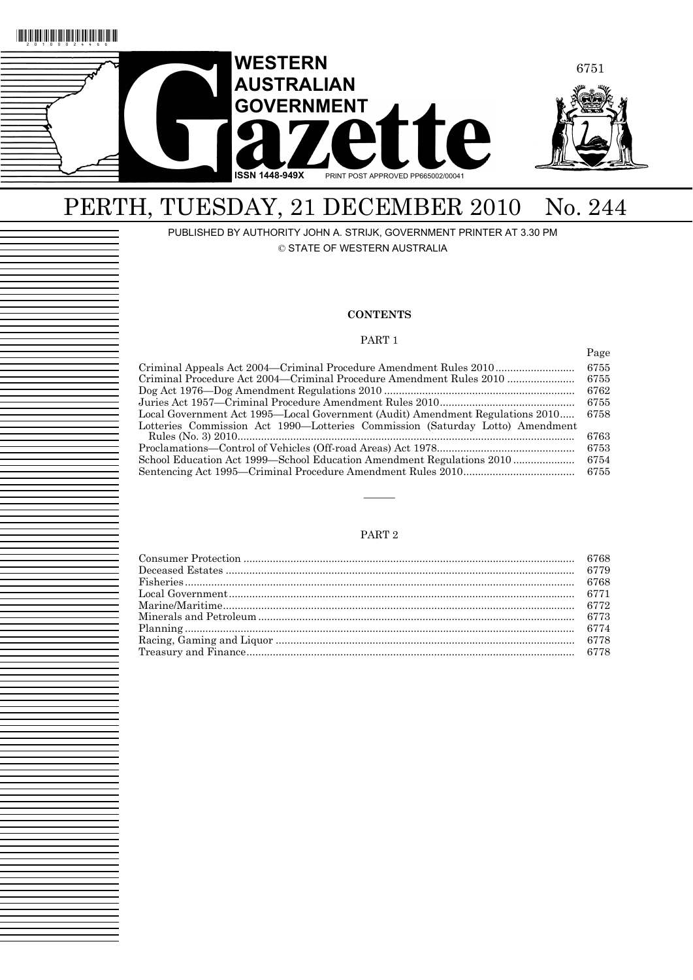

# PERTH, TUESDAY, 21 DECEMBER 2010 No. 244

PUBLISHED BY AUTHORITY JOHN A. STRIJK, GOVERNMENT PRINTER AT 3.30 PM © STATE OF WESTERN AUSTRALIA

#### **CONTENTS**

#### PART 1

Page

|                                                                               | 6755 |
|-------------------------------------------------------------------------------|------|
| Criminal Procedure Act 2004—Criminal Procedure Amendment Rules 2010           | 6755 |
|                                                                               | 6762 |
|                                                                               | 6755 |
| Local Government Act 1995—Local Government (Audit) Amendment Regulations 2010 | 6758 |
| Lotteries Commission Act 1990—Lotteries Commission (Saturday Lotto) Amendment |      |
|                                                                               | 6763 |
|                                                                               | 6753 |
| School Education Act 1999—School Education Amendment Regulations 2010         | 6754 |
|                                                                               | 6755 |
|                                                                               |      |

#### PART 2

———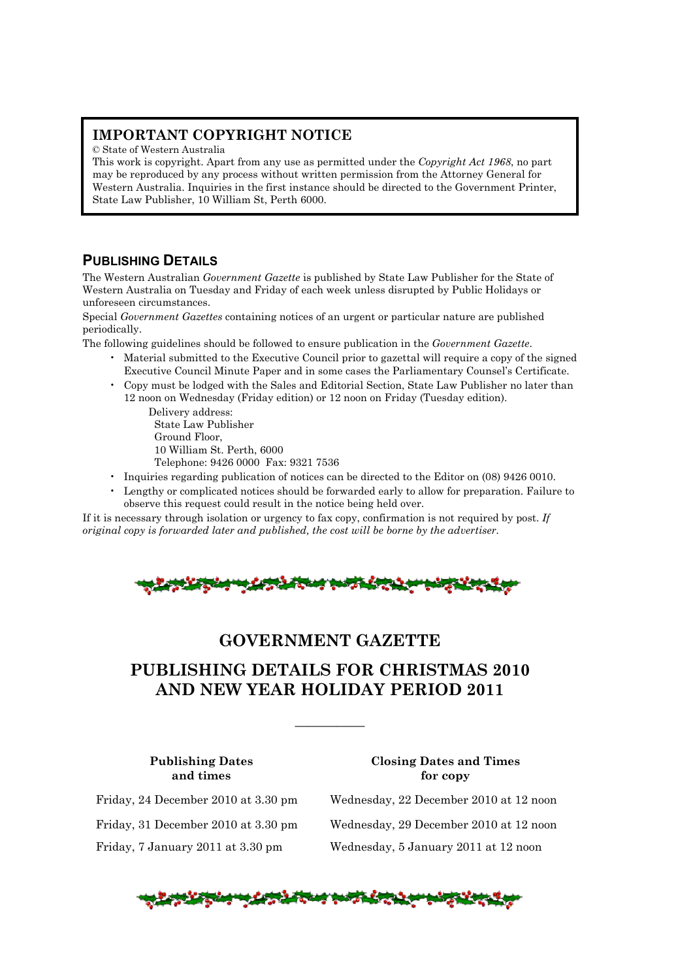## **IMPORTANT COPYRIGHT NOTICE**

© State of Western Australia

This work is copyright. Apart from any use as permitted under the *Copyright Act 1968*, no part may be reproduced by any process without written permission from the Attorney General for Western Australia. Inquiries in the first instance should be directed to the Government Printer, State Law Publisher, 10 William St, Perth 6000.

## **PUBLISHING DETAILS**

The Western Australian *Government Gazette* is published by State Law Publisher for the State of Western Australia on Tuesday and Friday of each week unless disrupted by Public Holidays or unforeseen circumstances.

Special *Government Gazettes* containing notices of an urgent or particular nature are published periodically.

The following guidelines should be followed to ensure publication in the *Government Gazette*.

- Material submitted to the Executive Council prior to gazettal will require a copy of the signed Executive Council Minute Paper and in some cases the Parliamentary Counsel's Certificate.
- Copy must be lodged with the Sales and Editorial Section, State Law Publisher no later than 12 noon on Wednesday (Friday edition) or 12 noon on Friday (Tuesday edition).

Delivery address: State Law Publisher Ground Floor, 10 William St. Perth, 6000 Telephone: 9426 0000 Fax: 9321 7536

- Inquiries regarding publication of notices can be directed to the Editor on (08) 9426 0010.
- Lengthy or complicated notices should be forwarded early to allow for preparation. Failure to observe this request could result in the notice being held over.

If it is necessary through isolation or urgency to fax copy, confirmation is not required by post. *If original copy is forwarded later and published, the cost will be borne by the advertiser.* 



## **GOVERNMENT GAZETTE**

## **PUBLISHING DETAILS FOR CHRISTMAS 2010 AND NEW YEAR HOLIDAY PERIOD 2011**

—————

#### **Publishing Dates Closing Dates and Times and times** for copy

Friday, 24 December 2010 at 3.30 pm Wednesday, 22 December 2010 at 12 noon Friday, 31 December 2010 at 3.30 pm Wednesday, 29 December 2010 at 12 noon Friday, 7 January 2011 at 3.30 pm Wednesday, 5 January 2011 at 12 noon

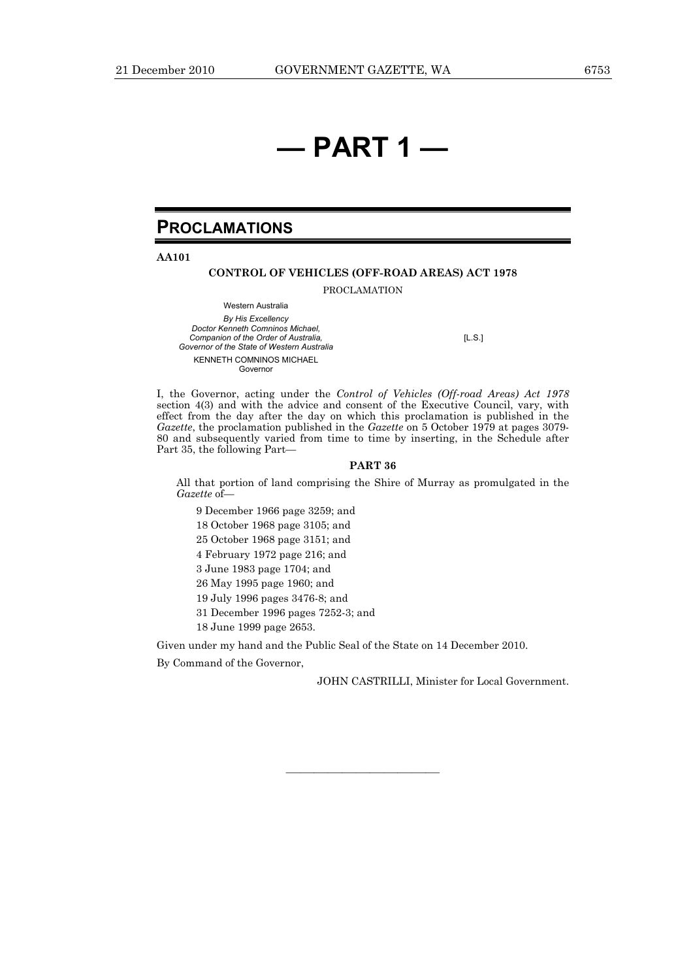# **— PART 1 —**

## **PROCLAMATIONS**

**AA101** 

#### **CONTROL OF VEHICLES (OFF-ROAD AREAS) ACT 1978**

PROCLAMATION

Western Australia *By His Excellency Doctor Kenneth Comninos Michael, Companion of the Order of Australia, Governor of the State of Western Australia*  KENNETH COMNINOS MICHAEL Governor

[L.S.]

I, the Governor, acting under the *Control of Vehicles (Off-road Areas) Act 1978* section 4(3) and with the advice and consent of the Executive Council, vary, with effect from the day after the day on which this proclamation is published in the *Gazette*, the proclamation published in the *Gazette* on 5 October 1979 at pages 3079- 80 and subsequently varied from time to time by inserting, in the Schedule after Part 35, the following Part—

#### **PART 36**

All that portion of land comprising the Shire of Murray as promulgated in the *Gazette* of

9 December 1966 page 3259; and 18 October 1968 page 3105; and 25 October 1968 page 3151; and 4 February 1972 page 216; and 3 June 1983 page 1704; and 26 May 1995 page 1960; and 19 July 1996 pages 3476-8; and 31 December 1996 pages 7252-3; and 18 June 1999 page 2653.

Given under my hand and the Public Seal of the State on 14 December 2010.

———————————

By Command of the Governor,

JOHN CASTRILLI, Minister for Local Government.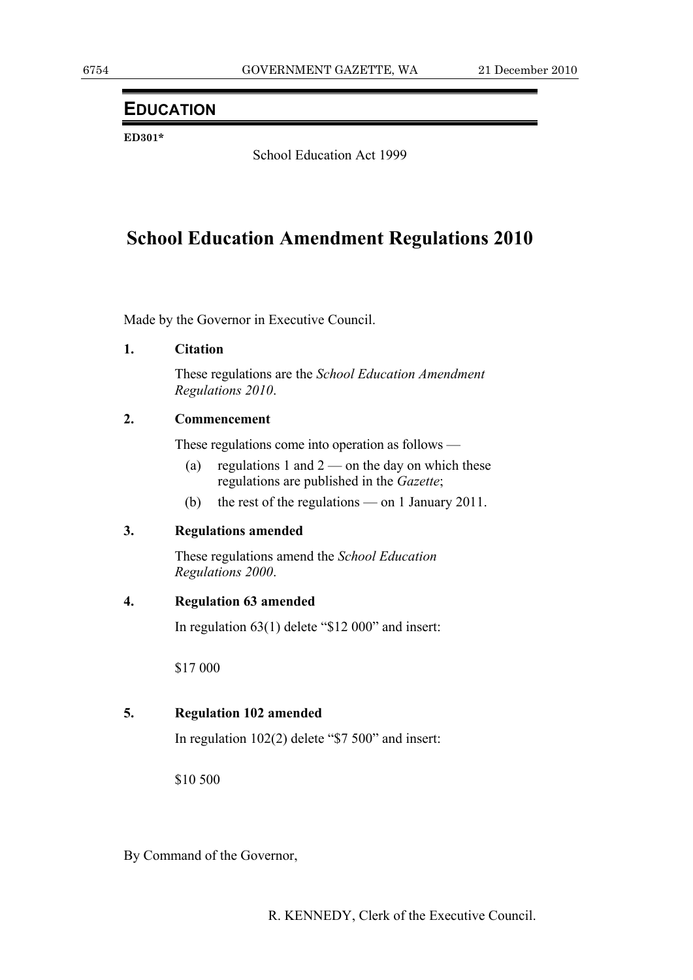## **EDUCATION**

**ED301\*** 

School Education Act 1999

## **School Education Amendment Regulations 2010**

Made by the Governor in Executive Council.

## **1. Citation**

 These regulations are the *School Education Amendment Regulations 2010*.

## **2. Commencement**

These regulations come into operation as follows —

- (a) regulations 1 and  $2$  on the day on which these regulations are published in the *Gazette*;
- (b) the rest of the regulations on 1 January 2011.

## **3. Regulations amended**

 These regulations amend the *School Education Regulations 2000*.

## **4. Regulation 63 amended**

In regulation 63(1) delete "\$12 000" and insert:

\$17 000

## **5. Regulation 102 amended**

In regulation 102(2) delete "\$7 500" and insert:

\$10 500

By Command of the Governor,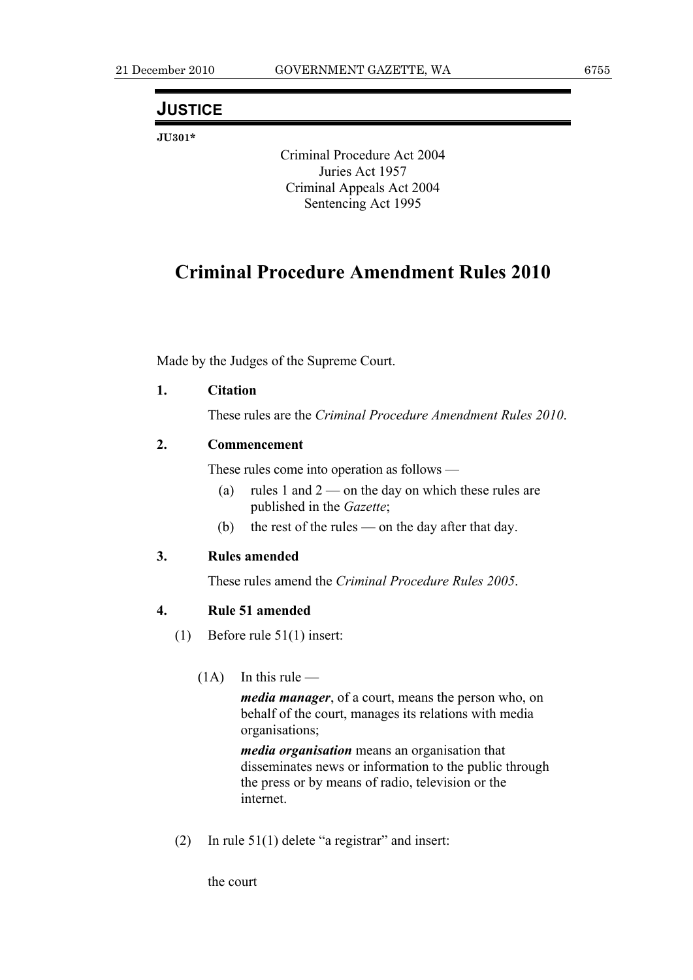## **JUSTICE**

**JU301\*** 

Criminal Procedure Act 2004 Juries Act 1957 Criminal Appeals Act 2004 Sentencing Act 1995

## **Criminal Procedure Amendment Rules 2010**

Made by the Judges of the Supreme Court.

## **1. Citation**

These rules are the *Criminal Procedure Amendment Rules 2010*.

## **2. Commencement**

These rules come into operation as follows —

- (a) rules 1 and 2 on the day on which these rules are published in the *Gazette*;
- (b) the rest of the rules on the day after that day.

## **3. Rules amended**

These rules amend the *Criminal Procedure Rules 2005*.

## **4. Rule 51 amended**

- (1) Before rule 51(1) insert:
	- $(1A)$  In this rule —

*media manager*, of a court, means the person who, on behalf of the court, manages its relations with media organisations;

*media organisation* means an organisation that disseminates news or information to the public through the press or by means of radio, television or the internet.

(2) In rule  $51(1)$  delete "a registrar" and insert:

the court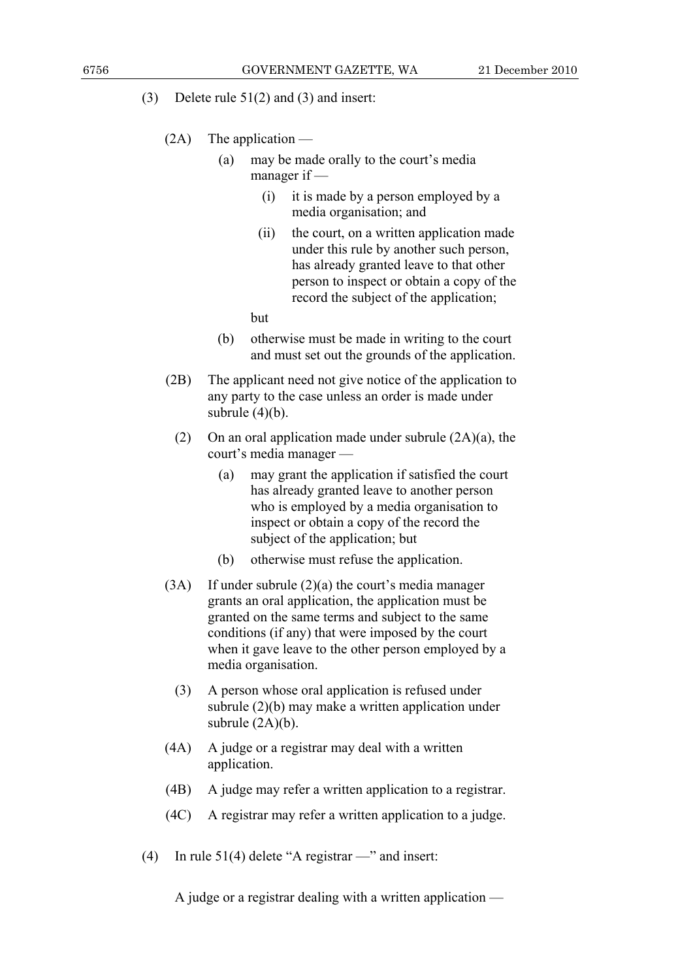- (3) Delete rule 51(2) and (3) and insert:
	- (2A) The application
		- (a) may be made orally to the court's media manager if —
			- (i) it is made by a person employed by a media organisation; and
			- (ii) the court, on a written application made under this rule by another such person, has already granted leave to that other person to inspect or obtain a copy of the record the subject of the application;

but

- (b) otherwise must be made in writing to the court and must set out the grounds of the application.
- (2B) The applicant need not give notice of the application to any party to the case unless an order is made under subrule  $(4)(b)$ .
	- (2) On an oral application made under subrule (2A)(a), the court's media manager —
		- (a) may grant the application if satisfied the court has already granted leave to another person who is employed by a media organisation to inspect or obtain a copy of the record the subject of the application; but
		- (b) otherwise must refuse the application.
- (3A) If under subrule (2)(a) the court's media manager grants an oral application, the application must be granted on the same terms and subject to the same conditions (if any) that were imposed by the court when it gave leave to the other person employed by a media organisation.
	- (3) A person whose oral application is refused under subrule (2)(b) may make a written application under subrule  $(2A)(b)$ .
- (4A) A judge or a registrar may deal with a written application.
- (4B) A judge may refer a written application to a registrar.
- (4C) A registrar may refer a written application to a judge.
- (4) In rule 51(4) delete "A registrar —" and insert:

A judge or a registrar dealing with a written application —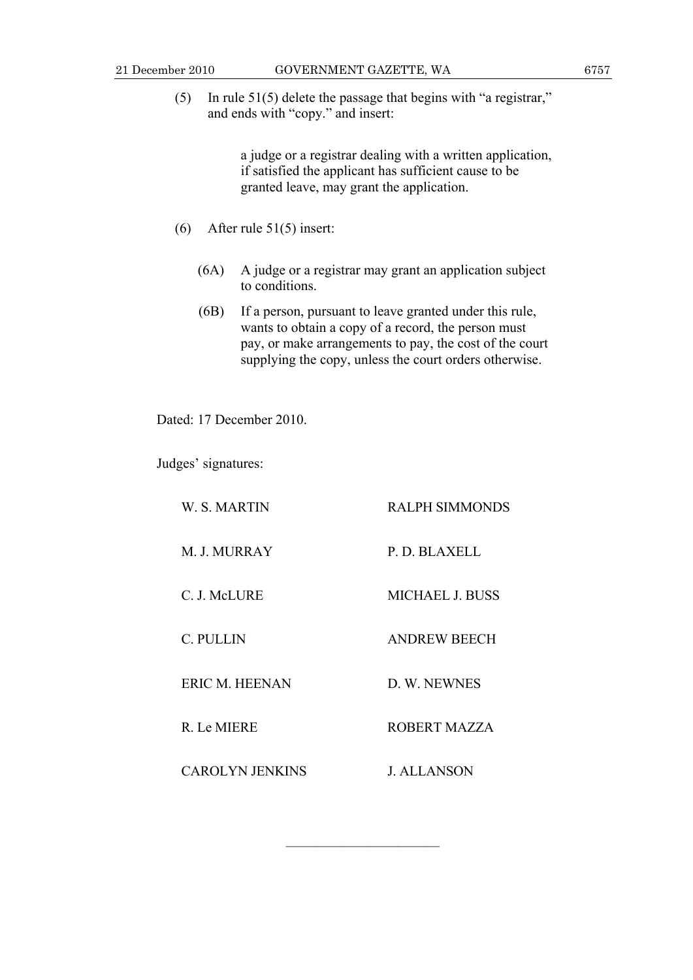(5) In rule 51(5) delete the passage that begins with "a registrar," and ends with "copy." and insert:

> a judge or a registrar dealing with a written application, if satisfied the applicant has sufficient cause to be granted leave, may grant the application.

- (6) After rule 51(5) insert:
	- (6A) A judge or a registrar may grant an application subject to conditions.
	- (6B) If a person, pursuant to leave granted under this rule, wants to obtain a copy of a record, the person must pay, or make arrangements to pay, the cost of the court supplying the copy, unless the court orders otherwise.

Dated: 17 December 2010.

Judges' signatures:

| W. S. MARTIN           | <b>RALPH SIMMONDS</b>  |
|------------------------|------------------------|
| M. J. MURRAY           | P. D. BLAXELL          |
| C. J. McLURE           | <b>MICHAEL J. BUSS</b> |
| C. PULLIN              | <b>ANDREW BEECH</b>    |
| <b>ERIC M. HEENAN</b>  | D. W. NEWNES           |
| R. Le MIERE            | <b>ROBERT MAZZA</b>    |
| <b>CAROLYN JENKINS</b> | J. ALLANSON            |

———————————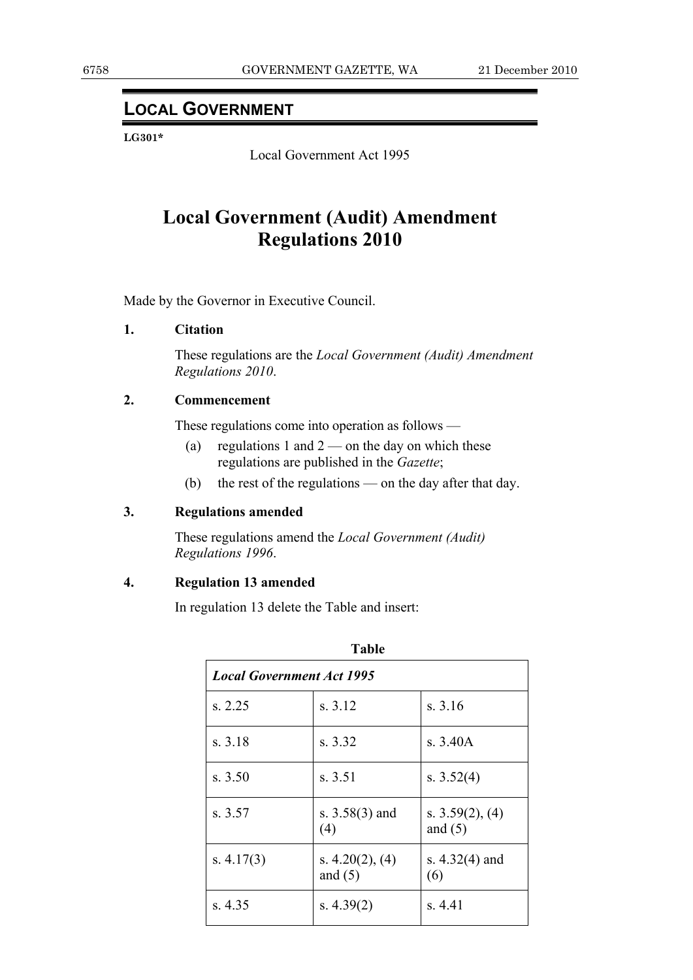## **LOCAL GOVERNMENT**

**LG301\*** 

Local Government Act 1995

## **Local Government (Audit) Amendment Regulations 2010**

Made by the Governor in Executive Council.

## **1. Citation**

 These regulations are the *Local Government (Audit) Amendment Regulations 2010*.

## **2. Commencement**

These regulations come into operation as follows —

- (a) regulations 1 and  $2$  on the day on which these regulations are published in the *Gazette*;
- (b) the rest of the regulations on the day after that day.

## **3. Regulations amended**

 These regulations amend the *Local Government (Audit) Regulations 1996*.

## **4. Regulation 13 amended**

In regulation 13 delete the Table and insert:

| 1 apie                           |                                   |                                 |  |  |
|----------------------------------|-----------------------------------|---------------------------------|--|--|
| <b>Local Government Act 1995</b> |                                   |                                 |  |  |
| s. 2.25                          | s. 3.12                           | s. 3.16                         |  |  |
| s. 3.18                          | s. 3.32                           | s. 3.40A                        |  |  |
| s. 3.50                          | s. 3.51                           | s. $3.52(4)$                    |  |  |
| s. 3.57                          | s. $3.58(3)$ and<br>(4)           | s. $3.59(2)$ , (4)<br>and $(5)$ |  |  |
| s. $4.17(3)$                     | s. $4.20(2)$ , $(4)$<br>and $(5)$ | s. $4.32(4)$ and<br>(6)         |  |  |
| s. 4.35                          | s. $4.39(2)$                      | s. 4.41                         |  |  |

**Table**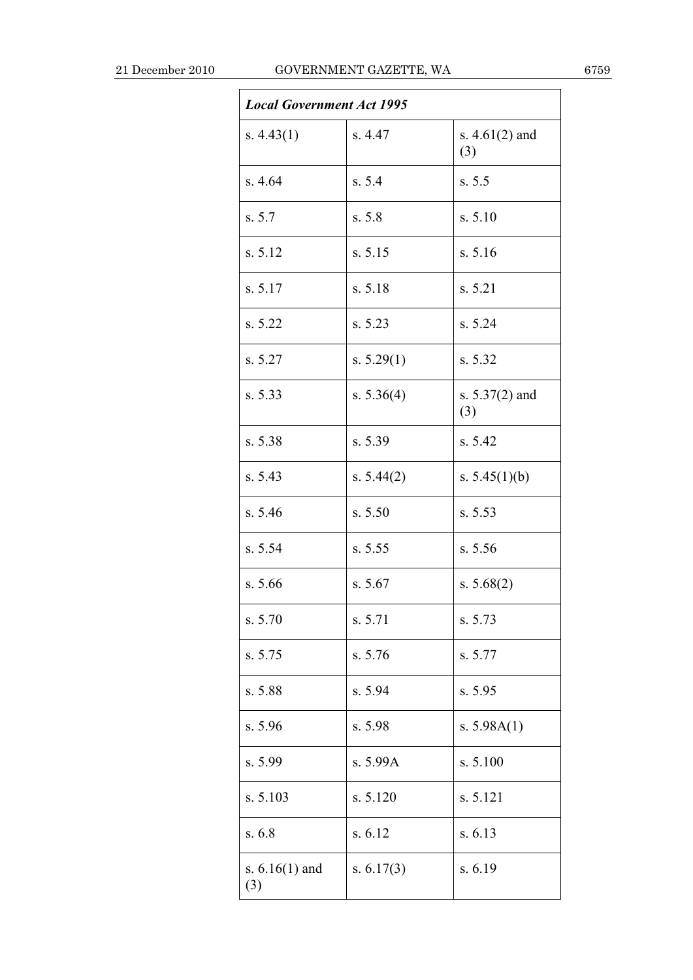| <b>Local Government Act 1995</b> |              |                         |  |  |  |
|----------------------------------|--------------|-------------------------|--|--|--|
| s. $4.43(1)$                     | s. 4.47      | s. $4.61(2)$ and<br>(3) |  |  |  |
| s.4.64                           | s. 5.4       | s. 5.5                  |  |  |  |
| s. 5.7                           | s. 5.8       | s. 5.10                 |  |  |  |
| s. 5.12                          | s. 5.15      | s. 5.16                 |  |  |  |
| s. 5.17                          | s. 5.18      | s. 5.21                 |  |  |  |
| s. 5.22                          | s. 5.23      | s. 5.24                 |  |  |  |
| s. 5.27                          | s. $5.29(1)$ | s. 5.32                 |  |  |  |
| s. 5.33                          | s. $5.36(4)$ | s. $5.37(2)$ and<br>(3) |  |  |  |
| s. 5.38                          | s. 5.39      | s. 5.42                 |  |  |  |
| s. 5.43                          | s. $5.44(2)$ | s. $5.45(1)(b)$         |  |  |  |
| s. 5.46                          | s. 5.50      | s. 5.53                 |  |  |  |
| s. 5.54                          | s. 5.55      | s. 5.56                 |  |  |  |
| s. 5.66                          | s. 5.67      | s. $5.68(2)$            |  |  |  |
| s. 5.70                          | s. 5.71      | s. 5.73                 |  |  |  |
| s. 5.75                          | s. 5.76      | s. 5.77                 |  |  |  |
| s. 5.88                          | s. 5.94      | s. 5.95                 |  |  |  |
| s. 5.96                          | s. 5.98      | s. $5.98A(1)$           |  |  |  |
| s. 5.99                          | s. 5.99A     | s. 5.100                |  |  |  |
| s. 5.103                         | s. 5.120     | s. 5.121                |  |  |  |
| s.6.8                            | s. 6.12      | s. 6.13                 |  |  |  |
| s. $6.16(1)$ and<br>(3)          | s. $6.17(3)$ | s. 6.19                 |  |  |  |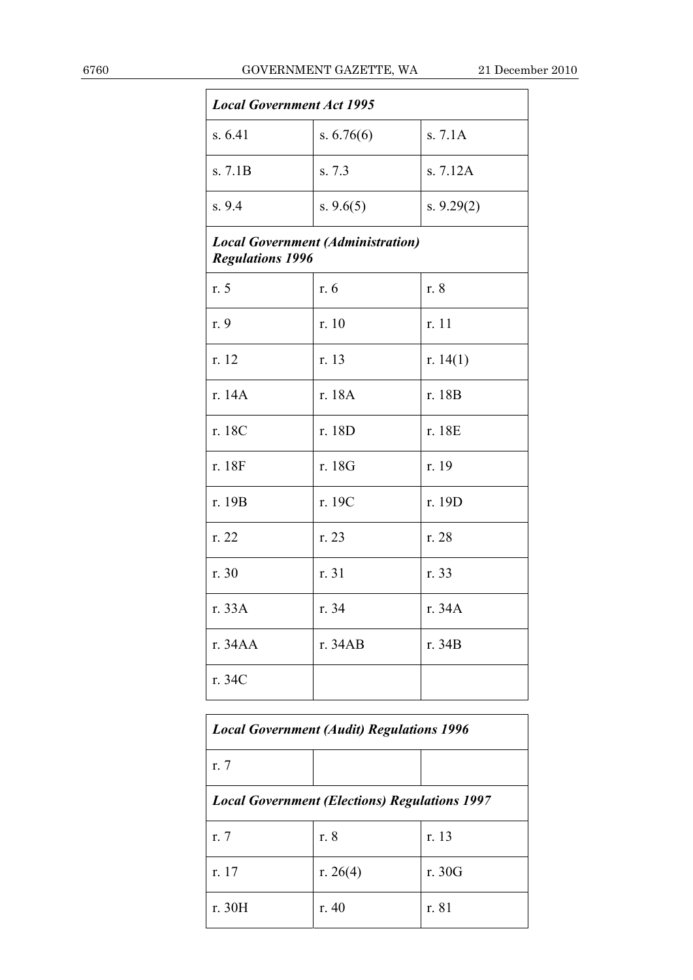| <b>Local Government Act 1995</b> |                                          |              |  |
|----------------------------------|------------------------------------------|--------------|--|
| s. 6.41                          | s. $6.76(6)$                             | s. 7.1A      |  |
| s. 7.1B                          | s. 7.3                                   | s. 7.12A     |  |
| s.9.4                            | s. $9.6(5)$                              | s. $9.29(2)$ |  |
| <b>Regulations 1996</b>          | <b>Local Government (Administration)</b> |              |  |
| r. 5                             | r. 6                                     | r. 8         |  |
| r. 9                             | r. 10                                    | r. 11        |  |
| r. 12                            | r. 13                                    | r. $14(1)$   |  |
| r. 14A                           | r. 18A                                   | r. 18B       |  |
| r. 18C                           | r. 18D                                   | r. 18E       |  |
| r. 18F                           | r. 18G                                   | r. 19        |  |
| r. 19B                           | r. 19C                                   | r. 19D       |  |
| r. 22                            | r. 23                                    | r. 28        |  |
| r. 30                            | r. 31                                    | r. 33        |  |
| r. 33A                           | r. 34                                    | r. 34A       |  |
| r. 34AA                          | r. 34AB                                  | r. 34B       |  |
| r. 34C                           |                                          |              |  |

| <b>Local Government (Audit) Regulations 1996</b>     |          |        |  |  |
|------------------------------------------------------|----------|--------|--|--|
| $r1$ . 7                                             |          |        |  |  |
| <b>Local Government (Elections) Regulations 1997</b> |          |        |  |  |
| r. 7                                                 | r. 8     | r. 13  |  |  |
| r. 17                                                | r. 26(4) | r. 30G |  |  |
| r. 30H                                               | r. $40$  | r. 81  |  |  |

Ī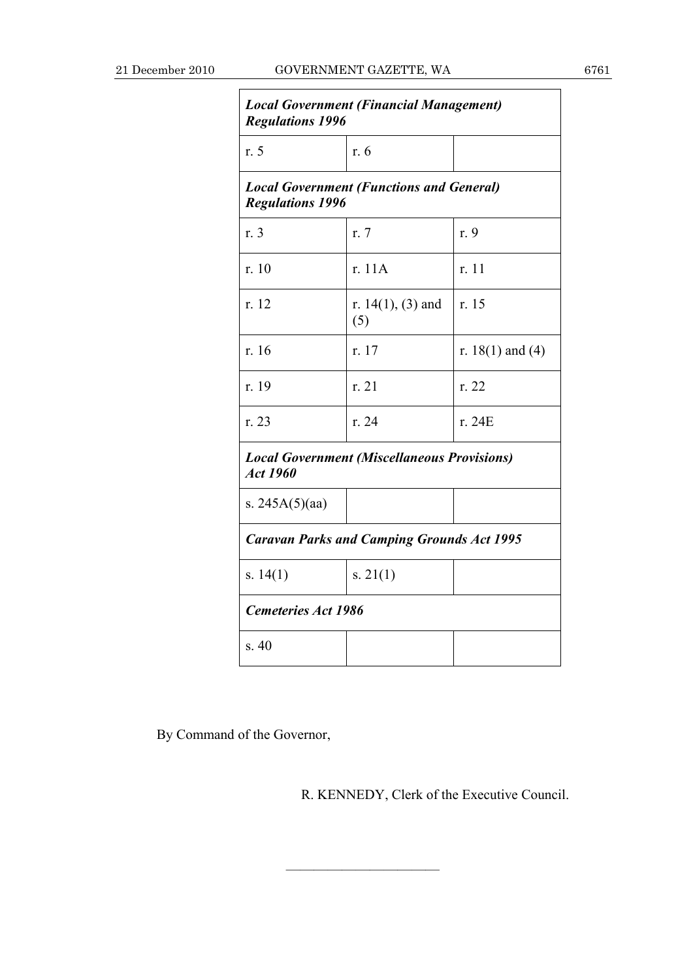| <b>Local Government (Financial Management)</b><br><b>Regulations 1996</b>  |                             |                      |  |  |
|----------------------------------------------------------------------------|-----------------------------|----------------------|--|--|
| r. 5                                                                       | r. 6                        |                      |  |  |
| <b>Local Government (Functions and General)</b><br><b>Regulations 1996</b> |                             |                      |  |  |
| r. 3                                                                       | r. 7                        | r. 9                 |  |  |
| r. 10                                                                      | r. 11A                      | r. 11                |  |  |
| r. 12                                                                      | r. $14(1)$ , (3) and<br>(5) | r. 15                |  |  |
| r. 16                                                                      | r. 17                       | r. $18(1)$ and $(4)$ |  |  |
| r. 19                                                                      | r. 21                       | r. 22                |  |  |
| r. 23                                                                      | r. 24                       | r. 24E               |  |  |
| <b>Local Government (Miscellaneous Provisions)</b><br>Act 1960             |                             |                      |  |  |
| s. $245A(5)(aa)$                                                           |                             |                      |  |  |
| <b>Caravan Parks and Camping Grounds Act 1995</b>                          |                             |                      |  |  |
| s. $14(1)$                                                                 | s. $21(1)$                  |                      |  |  |
| <b>Cemeteries Act 1986</b>                                                 |                             |                      |  |  |
| s. 40                                                                      |                             |                      |  |  |

By Command of the Governor,

R. KENNEDY, Clerk of the Executive Council.

———————————

٦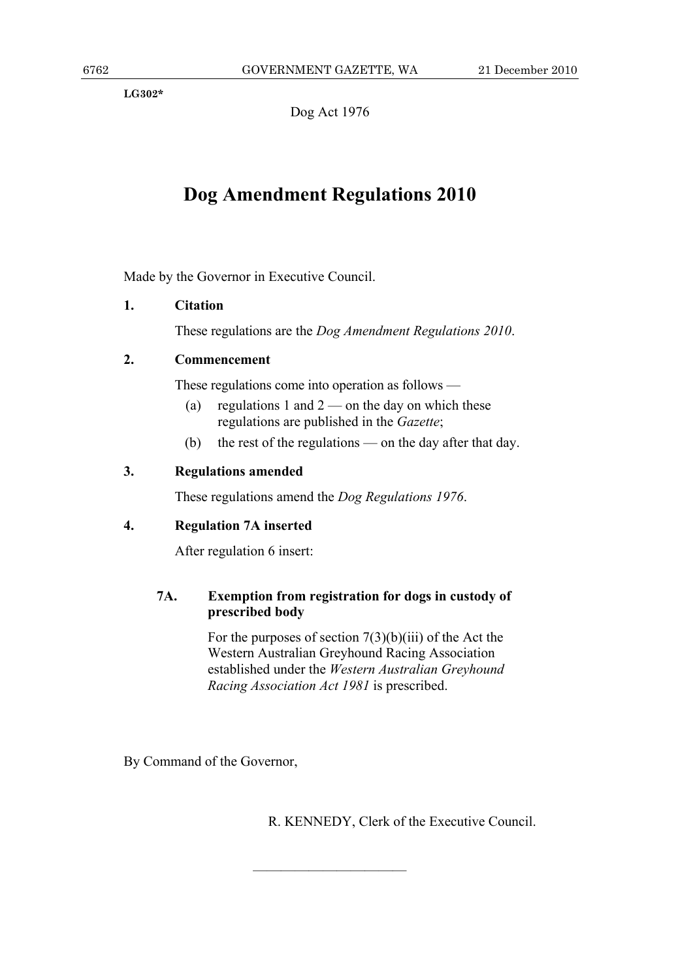**LG302\*** 

Dog Act 1976

## **Dog Amendment Regulations 2010**

Made by the Governor in Executive Council.

## **1. Citation**

These regulations are the *Dog Amendment Regulations 2010*.

## **2. Commencement**

These regulations come into operation as follows —

- (a) regulations 1 and  $2$  on the day on which these regulations are published in the *Gazette*;
- (b) the rest of the regulations on the day after that day.

## **3. Regulations amended**

These regulations amend the *Dog Regulations 1976*.

## **4. Regulation 7A inserted**

After regulation 6 insert:

## **7A. Exemption from registration for dogs in custody of prescribed body**

———————————

For the purposes of section  $7(3)(b)(iii)$  of the Act the Western Australian Greyhound Racing Association established under the *Western Australian Greyhound Racing Association Act 1981* is prescribed.

By Command of the Governor,

R. KENNEDY, Clerk of the Executive Council.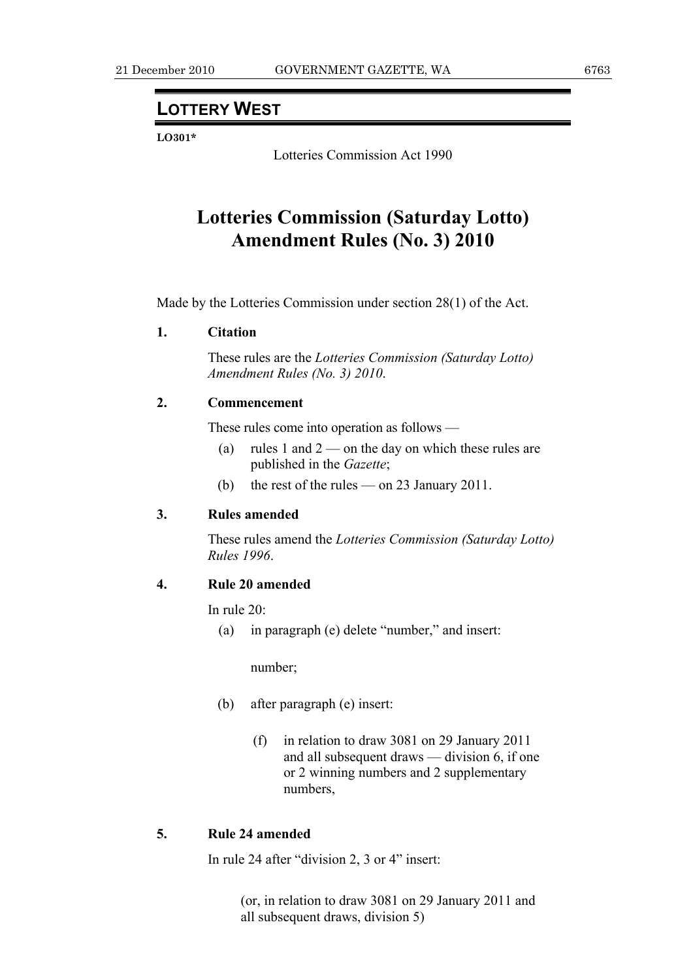## **LOTTERY WEST**

**LO301\*** 

Lotteries Commission Act 1990

## **Lotteries Commission (Saturday Lotto) Amendment Rules (No. 3) 2010**

Made by the Lotteries Commission under section 28(1) of the Act.

## **1. Citation**

 These rules are the *Lotteries Commission (Saturday Lotto) Amendment Rules (No. 3) 2010*.

## **2. Commencement**

These rules come into operation as follows —

- (a) rules 1 and  $2$  on the day on which these rules are published in the *Gazette*;
- (b) the rest of the rules on 23 January 2011.

## **3. Rules amended**

 These rules amend the *Lotteries Commission (Saturday Lotto) Rules 1996*.

## **4. Rule 20 amended**

In rule 20:

(a) in paragraph (e) delete "number," and insert:

number;

- (b) after paragraph (e) insert:
	- (f) in relation to draw 3081 on 29 January 2011 and all subsequent draws — division 6, if one or 2 winning numbers and 2 supplementary numbers,

## **5. Rule 24 amended**

In rule 24 after "division 2, 3 or 4" insert:

 (or, in relation to draw 3081 on 29 January 2011 and all subsequent draws, division 5)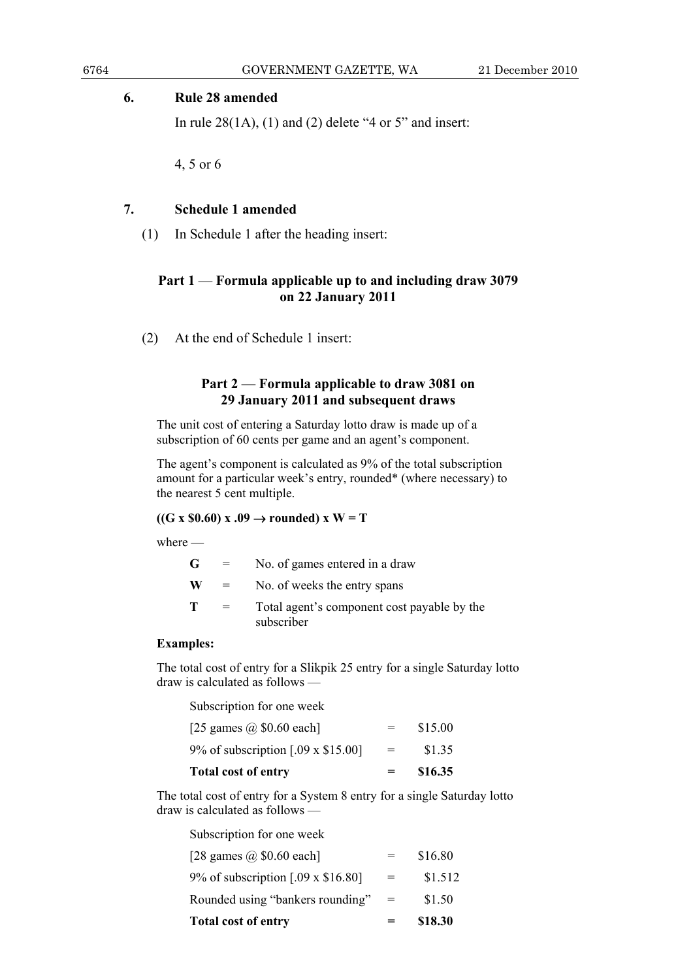#### **6. Rule 28 amended**

In rule  $28(1A)$ , (1) and (2) delete "4 or 5" and insert:

4, 5 or 6

## **7. Schedule 1 amended**

(1) In Schedule 1 after the heading insert:

## **Part 1** — **Formula applicable up to and including draw 3079 on 22 January 2011**

(2) At the end of Schedule 1 insert:

## **Part 2** — **Formula applicable to draw 3081 on 29 January 2011 and subsequent draws**

The unit cost of entering a Saturday lotto draw is made up of a subscription of 60 cents per game and an agent's component.

The agent's component is calculated as 9% of the total subscription amount for a particular week's entry, rounded\* (where necessary) to the nearest 5 cent multiple.

## $((G \times $0.60) \times .09 \rightarrow rounded) \times W = T$

where —

| G  | $=$      | No. of games entered in a draw                            |
|----|----------|-----------------------------------------------------------|
| W. |          | No. of weeks the entry spans                              |
| т  | $\equiv$ | Total agent's component cost payable by the<br>subscriber |
|    |          |                                                           |

## **Examples:**

The total cost of entry for a Slikpik 25 entry for a single Saturday lotto draw is calculated as follows —

Subscription for one week

| <b>Total cost of entry</b>               | $=$ | \$16.35 |
|------------------------------------------|-----|---------|
| 9% of subscription $[.09 \times $15.00]$ | $=$ | \$1.35  |
| [25 games $\omega$ \$0.60 each]          |     | \$15.00 |

The total cost of entry for a System 8 entry for a single Saturday lotto draw is calculated as follows —

Subscription for one week

| <b>Total cost of entry</b>               | $=$ | \$18.30 |
|------------------------------------------|-----|---------|
| Rounded using "bankers rounding"         | $=$ | \$1.50  |
| 9% of subscription $[.09 \times $16.80]$ | $=$ | \$1.512 |
| [28 games $\omega$ \$0.60 each]          |     | \$16.80 |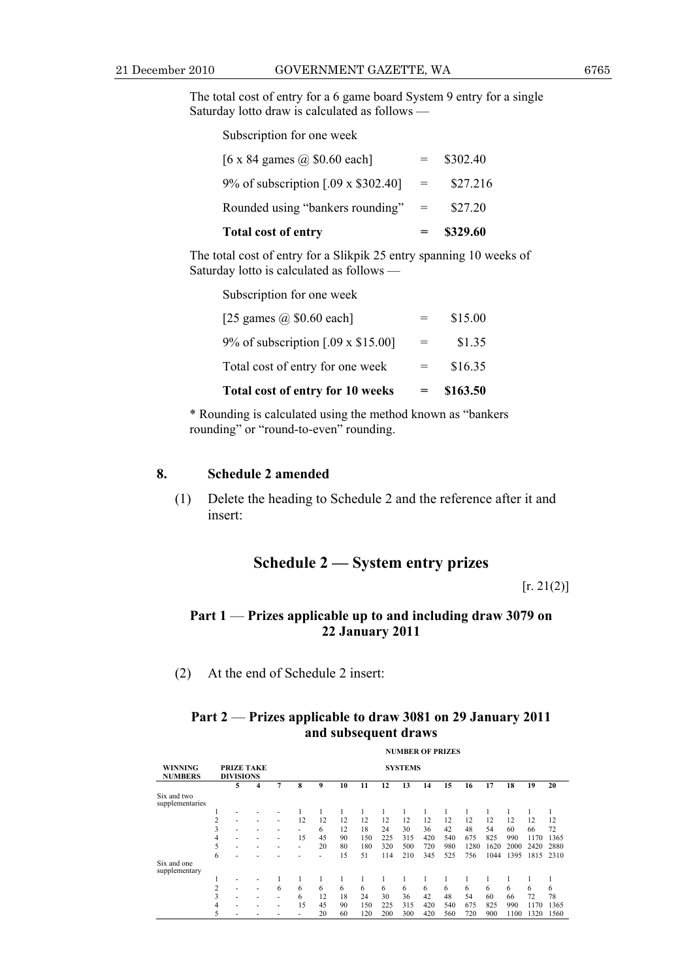The total cost of entry for a 6 game board System 9 entry for a single Saturday lotto draw is calculated as follows —

Subscription for one week

| <b>Total cost of entry</b>           |     | \$329.60 |
|--------------------------------------|-----|----------|
| Rounded using "bankers rounding" $=$ |     | \$27.20  |
| 9% of subscription [.09 x \$302.40]  | $=$ | \$27.216 |
| [6 x 84 games $\omega$ \$0.60 each]  |     | \$302.40 |

The total cost of entry for a Slikpik 25 entry spanning 10 weeks of Saturday lotto is calculated as follows —

Subscription for one week

| Total cost of entry for 10 weeks         | \$163.50 |
|------------------------------------------|----------|
| Total cost of entry for one week         | \$16.35  |
| 9% of subscription $[.09 \times $15.00]$ | \$1.35   |
| [25 games $\omega$ \$0.60 each]          | \$15.00  |

\* Rounding is calculated using the method known as "bankers rounding" or "round-to-even" rounding.

#### **8. Schedule 2 amended**

 (1) Delete the heading to Schedule 2 and the reference after it and insert:

## **Schedule 2 — System entry prizes**

 $[r. 21(2)]$ 

## **Part 1** — **Prizes applicable up to and including draw 3079 on 22 January 2011**

(2) At the end of Schedule 2 insert:

## **Part 2** — **Prizes applicable to draw 3081 on 29 January 2011 and subsequent draws**

|                                  |                                       | <b>NUMBER OF PRIZES</b> |   |                |    |    |    |     |     |     |     |     |      |      |      |      |      |
|----------------------------------|---------------------------------------|-------------------------|---|----------------|----|----|----|-----|-----|-----|-----|-----|------|------|------|------|------|
| <b>WINNING</b><br><b>NUMBERS</b> | <b>PRIZE TAKE</b><br><b>DIVISIONS</b> |                         |   | <b>SYSTEMS</b> |    |    |    |     |     |     |     |     |      |      |      |      |      |
|                                  |                                       | 5                       | 4 | 7              | 8  | 9  | 10 | 11  | 12  | 13  | 14  | 15  | 16   | 17   | 18   | 19   | 20   |
| Six and two<br>supplementaries   |                                       |                         |   |                |    |    |    |     |     |     |     |     |      |      |      |      |      |
|                                  |                                       |                         |   |                |    |    |    |     |     |     |     |     |      |      |      |      |      |
|                                  |                                       |                         |   | ۰              | 12 | 12 | 12 | 12  | 12  | 12  | 12  | 12  | 12   | 12   | 12   | 12   | 12   |
|                                  | 3                                     |                         |   |                |    | 6  | 12 | 18  | 24  | 30  | 36  | 42  | 48   | 54   | 60   | 66   | 72   |
|                                  | 4                                     |                         |   | ۰              | 15 | 45 | 90 | 150 | 225 | 315 | 420 | 540 | 675  | 825  | 990  | 1170 | 1365 |
|                                  | 5                                     |                         |   |                | ۰  | 20 | 80 | 180 | 320 | 500 | 720 | 980 | 1280 | 1620 | 2000 | 2420 | 2880 |
|                                  | 6                                     |                         |   |                |    |    | 15 | 51  | 114 | 210 | 345 | 525 | 756  | 1044 | 1395 | 1815 | 2310 |
| Six and one<br>supplementary     |                                       |                         |   |                |    |    |    |     |     |     |     |     |      |      |      |      |      |
|                                  |                                       |                         |   |                |    |    |    |     |     |     |     |     |      |      |      |      |      |
|                                  | 2                                     |                         | ۰ | 6              | 6  | 6  | 6  | 6   | 6   | 6   | 6   | 6   | 6    | 6    | 6    | 6    | 6    |
|                                  | 3                                     |                         |   | ۰              | 6  | 12 | 18 | 24  | 30  | 36  | 42  | 48  | 54   | 60   | 66   | 72   | 78   |
|                                  | 4                                     |                         |   |                | 15 | 45 | 90 | 150 | 225 | 315 | 420 | 540 | 675  | 825  | 990  | 1170 | 1365 |
|                                  |                                       |                         |   |                |    | 20 | 60 | 120 | 200 | 300 | 420 | 560 | 720  | 900  | 1100 | 1320 | 1560 |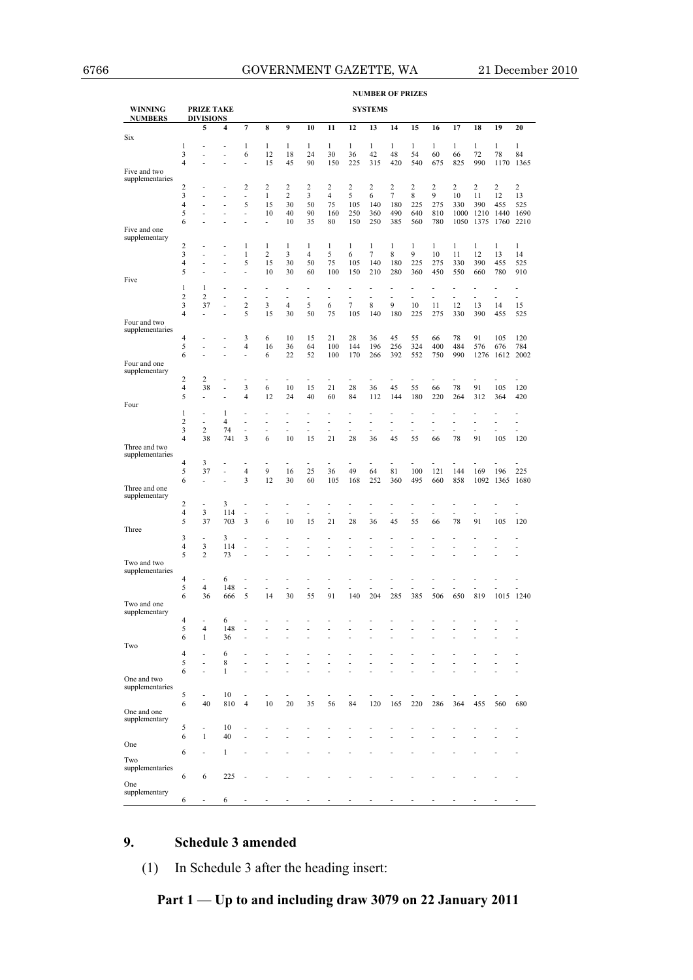**NUMBER OF PRIZES** 

| <b>WINNING</b><br><b>NUMBERS</b> |                     | <b>PRIZE TAKE</b><br><b>DIVISIONS</b> |                         |                      |                               |                                 |                               |                |                | <b>SYSTEMS</b> |                    |                |                |                |              |                |                                |
|----------------------------------|---------------------|---------------------------------------|-------------------------|----------------------|-------------------------------|---------------------------------|-------------------------------|----------------|----------------|----------------|--------------------|----------------|----------------|----------------|--------------|----------------|--------------------------------|
|                                  |                     | 5                                     | $\overline{\mathbf{4}}$ | 7                    | 8                             | 9                               | 10                            | 11             | 12             | 13             | 14                 | 15             | 16             | 17             | 18           | 19             | 20                             |
| Six                              |                     |                                       |                         |                      |                               |                                 |                               |                |                |                |                    |                |                |                |              |                |                                |
|                                  | 1                   | ä,                                    | ٠                       | $\mathbf{1}$         | $\mathbf{1}$                  | $\mathbf{1}$                    | $\mathbf{1}$                  | $\mathbf{1}$   | $\mathbf{1}$   | $\mathbf{1}$   | $\mathbf{1}$       | $\mathbf{1}$   | $\mathbf{1}$   | $\mathbf{1}$   | $\mathbf{1}$ | $\mathbf{1}$   | $\mathbf{1}$                   |
|                                  | 3                   | ä,                                    | ٠                       | 6                    | 12                            | 18                              | 24                            | 30             | 36             | 42             | 48                 | 54             | 60             | 66             | 72           | 78             | 84                             |
| Five and two                     | $\overline{4}$      | ä,                                    | ä,                      | ä,                   | 15                            | 45                              | 90                            | 150            | 225            | 315            | 420                | 540            | 675            | 825            | 990          | 1170           | 1365                           |
| supplementaries                  |                     |                                       |                         |                      |                               |                                 |                               |                |                |                |                    |                |                |                |              |                |                                |
|                                  | $\overline{c}$      | ä,                                    | ä,                      | $\overline{2}$       | $\overline{2}$                | 2                               | 2                             | $\overline{c}$ | $\overline{c}$ | 2              | $\overline{c}$     | $\overline{c}$ | $\overline{c}$ | $\overline{c}$ | 2            | $\overline{c}$ | $\overline{c}$                 |
|                                  | 3                   | Ĭ.                                    | Ĭ.                      | Ĭ.                   | $\mathbf{1}$                  | $\overline{c}$                  | 3                             | $\overline{4}$ | 5              | 6              | $\tau$             | 8              | 9              | 10             | 11           | 12             | 13                             |
|                                  | 4                   |                                       | Ĭ.                      | 5                    | 15                            | 30                              | 50                            | 75             | 105            | 140            | 180                | 225            | 275            | 330            | 390          | 455            | 525                            |
|                                  | 5                   |                                       | ÷,                      | Ĭ.                   | 10                            | 40                              | 90                            | 160            | 250            | 360            | 490                | 640            | 810            | 1000           |              | 1210 1440      | 1690                           |
|                                  | 6                   | Ĭ.                                    |                         | Ĭ.                   | ä,                            | 10                              | 35                            | 80             | 150            | 250            | 385                | 560            | 780            | 1050           | 1375         | 1760           | 2210                           |
| Five and one<br>supplementary    |                     |                                       |                         |                      |                               |                                 |                               |                |                |                |                    |                |                |                |              |                |                                |
|                                  | 2                   | ٠                                     |                         | $\mathbf{1}$         | $\mathbf{1}$                  | 1                               | $\mathbf{1}$                  | $\mathbf{1}$   | $\mathbf{1}$   | $\mathbf{1}$   | $\mathbf{1}$       | $\mathbf{1}$   | $\mathbf{1}$   | $\mathbf{1}$   | 1            | $\mathbf{1}$   | $\mathbf{1}$                   |
|                                  | 3                   | Ĭ.                                    | ä,                      | $\mathbf{1}$         | $\overline{\mathbf{c}}$       | 3                               | 4                             | 5              | 6              | 7              | 8                  | 9              | 10             | 11             | 12           | 13             | 14                             |
|                                  | $\overline{4}$      | Ĭ.                                    | ä,                      | 5                    | 15                            | 30                              | 50                            | 75             | 105            | 140            | 180                | 225            | 275            | 330            | 390          | 455            | 525                            |
|                                  | 5                   | Ĭ.                                    | J.                      | ä,                   | 10                            | 30                              | 60                            | 100            | 150            | 210            | 280                | 360            | 450            | 550            | 660          | 780            | 910                            |
| Five                             |                     |                                       |                         |                      |                               |                                 |                               |                |                |                |                    |                |                |                |              |                |                                |
|                                  | 1<br>$\overline{c}$ | 1<br>$\overline{c}$                   |                         |                      |                               | ÷,                              |                               | Ĭ.             |                |                |                    | Ĭ.             | Ĭ.             | ÷,             |              | $\overline{a}$ | Ĭ.                             |
|                                  | 3                   | 37                                    | ÷,<br>÷                 | ÷,<br>$\overline{2}$ | $\overline{\phantom{a}}$<br>3 | $\frac{1}{2}$<br>$\overline{4}$ | $\overline{\phantom{a}}$<br>5 | ÷<br>6         | ÷<br>$\tau$    | ä,<br>8        | $\frac{1}{2}$<br>9 | Ĭ.<br>10       | ÷<br>11        | ÷<br>12        | ÷,<br>13     | 14             | $\overline{\phantom{a}}$<br>15 |
|                                  | $\overline{4}$      | ÷                                     |                         | 5                    | 15                            | 30                              | 50                            | 75             | 105            | 140            | 180                | 225            | 275            | 330            | 390          | 455            | 525                            |
| Four and two                     |                     |                                       |                         |                      |                               |                                 |                               |                |                |                |                    |                |                |                |              |                |                                |
| supplementaries                  |                     |                                       |                         |                      |                               |                                 |                               |                |                |                |                    |                |                |                |              |                |                                |
|                                  | 4                   | ä,                                    | ÷.                      | 3                    | 6                             | 10                              | 15                            | 21             | 28             | 36             | 45                 | 55             | 66             | 78             | 91           | 105            | 120                            |
|                                  | 5                   |                                       | ä,                      | $\overline{4}$       | 16                            | 36                              | 64                            | 100            | 144            | 196            | 256                | 324            | 400            | 484            | 576          | 676            | 784                            |
|                                  | 6                   | ä,                                    | ÷.                      | ÷,                   | 6                             | 22                              | 52                            | 100            | 170            | 266            | 392                | 552            | 750            | 990            | 1276         | 1612           | 2002                           |
| Four and one<br>supplementary    |                     |                                       |                         |                      |                               |                                 |                               |                |                |                |                    |                |                |                |              |                |                                |
|                                  | $\overline{c}$      | 2                                     |                         | ä,                   |                               | Ĭ.                              |                               | Ĭ.             | ä,             | Ĭ.             |                    | L              | İ,             | ä,             |              |                |                                |
|                                  | $\overline{4}$      | 38                                    | Ĭ.                      | 3                    | 6                             | 10                              | 15                            | 21             | 28             | 36             | 45                 | 55             | 66             | 78             | 91           | 105            | 120                            |
|                                  | 5                   | ÷                                     | Ĭ.                      | $\overline{4}$       | 12                            | 24                              | 40                            | 60             | 84             | 112            | 144                | 180            | 220            | 264            | 312          | 364            | 420                            |
| Four                             |                     |                                       |                         |                      |                               |                                 |                               |                |                |                |                    |                |                |                |              |                |                                |
|                                  | 1                   | ä,                                    | 1                       | ٠                    | ÷                             | ٠                               | ٠                             | ä,             | ä,             | ä,             | ä,                 | ä,             | ä,             | Ĭ.             | ä,           | ä,             | ٠                              |
|                                  | 2                   | ÷,                                    | $\overline{4}$          | ä,                   | ä,                            | ä,                              | ä,                            | Ĭ.             | ä,             | ä,             | ä,                 | ä,             | ä,             | ä,             | ٠            | ä,             | ä,                             |
|                                  | 3                   | $\overline{c}$                        | 74                      | ÷,                   | ä,                            | ä,                              | ä,                            | ä,             | ä,             | ä,             | ä,                 | ä,             | ä,             | ä,             | ٠            | J.             | ٠                              |
|                                  | $\overline{4}$      | 38                                    | 741                     | 3                    | 6                             | 10                              | 15                            | 21             | 28             | 36             | 45                 | 55             | 66             | 78             | 91           | 105            | 120                            |
| Three and two<br>supplementaries |                     |                                       |                         |                      |                               |                                 |                               |                |                |                |                    |                |                |                |              |                |                                |
|                                  | 4                   | 3                                     |                         | ä,                   | Ĭ.                            |                                 |                               | Ĭ.             |                | Ĭ.             |                    |                |                |                |              |                |                                |
|                                  | 5                   | 37                                    | ÷,                      | $\overline{4}$       | 9                             | 16                              | 25                            | 36             | 49             | 64             | 81                 | 100            | 121            | 144            | 169          | 196            | 225                            |
|                                  | 6                   | ÷                                     | ÷,                      | 3                    | 12                            | 30                              | 60                            | 105            | 168            | 252            | 360                | 495            | 660            | 858            | 1092         | 1365           | 1680                           |
| Three and one                    |                     |                                       |                         |                      |                               |                                 |                               |                |                |                |                    |                |                |                |              |                |                                |
| supplementary                    |                     |                                       |                         |                      |                               |                                 |                               |                |                |                |                    |                |                |                |              |                |                                |
|                                  | 2<br>4              | ÷<br>3                                | 3<br>114                | ٠<br>i,              |                               | ÷.<br>$\overline{a}$            | ٠<br>ä,                       | ٠<br>ä,        | ٠<br>٠         | ä,<br>ä,       | ä,<br>ä,           | ä,             | ÷<br>ä,        | ٠<br>ä,        | ä<br>ä,      |                |                                |
|                                  | 5                   | 37                                    | 703                     | 3                    | ÷<br>6                        | 10                              | 15                            | 21             | 28             | 36             | 45                 | 55             | 66             | 78             | 91           | 105            | 120                            |
| Three                            |                     |                                       |                         |                      |                               |                                 |                               |                |                |                |                    |                |                |                |              |                |                                |
|                                  | 3                   | ÷                                     | 3                       | ÷,                   |                               |                                 |                               |                |                |                |                    |                |                |                |              |                |                                |
|                                  | $\overline{4}$      | 3                                     | 114                     | ÷,                   | Ĭ.                            | Ĭ.                              |                               |                |                | Ĭ.             |                    |                |                | L,             |              |                |                                |
|                                  | 5                   | $\overline{c}$                        | 73                      | Ĭ.                   |                               |                                 |                               |                |                |                |                    |                |                |                |              |                |                                |
| Two and two                      |                     |                                       |                         |                      |                               |                                 |                               |                |                |                |                    |                |                |                |              |                |                                |
| supplementaries                  | 4                   | ä,                                    | 6                       | ÷,                   |                               | ÷                               | ٠                             | ٠              |                |                |                    |                |                |                |              |                |                                |
|                                  | 5                   | 4                                     | 148                     | ÷                    | ÷.                            | ä,                              | ÷                             | ä,             |                | ä,             |                    |                | ۳              | ä,             |              |                |                                |
|                                  | 6                   | 36                                    | 666                     | 5                    | 14                            | 30                              | 55                            | 91             | 140            | 204            | 285                | 385            | 506            | 650            | 819          |                | 1015 1240                      |
| Two and one                      |                     |                                       |                         |                      |                               |                                 |                               |                |                |                |                    |                |                |                |              |                |                                |
| supplementary                    |                     |                                       |                         |                      |                               |                                 |                               |                |                |                |                    |                |                |                |              |                |                                |
|                                  | 4                   |                                       | 6                       |                      |                               |                                 | ٠                             | ٠              |                |                |                    |                |                |                |              |                |                                |
|                                  | 5<br>6              | 4                                     | 148                     |                      |                               |                                 |                               |                |                |                |                    |                |                |                |              |                |                                |
| Two                              |                     | $\mathbf{1}$                          | 36                      |                      |                               |                                 |                               |                |                |                |                    |                |                |                |              |                |                                |
|                                  | 4                   | ٠                                     | 6                       |                      |                               |                                 |                               |                |                |                |                    |                |                |                |              |                |                                |
|                                  | 5                   | ä,                                    | 8                       |                      |                               |                                 |                               |                |                |                |                    |                |                |                |              |                |                                |
|                                  | 6                   | ä,                                    | $\mathbf{1}$            |                      |                               |                                 |                               |                |                |                |                    |                |                |                |              |                |                                |
| One and two                      |                     |                                       |                         |                      |                               |                                 |                               |                |                |                |                    |                |                |                |              |                |                                |
| supplementaries                  |                     |                                       |                         |                      |                               |                                 |                               |                |                |                |                    |                |                |                |              |                |                                |
|                                  | 5                   | ä,                                    | 10                      | ÷,                   | ÷,                            | ä,                              | ٠                             | ٠              | ٠              |                |                    | ÷              | ä,             |                |              |                |                                |
| One and one                      | 6                   | 40                                    | 810                     | $\overline{4}$       | 10                            | 20                              | 35                            | 56             | 84             | 120            | 165                | 220            | 286            | 364            | 455          | 560            | 680                            |
| supplementary                    |                     |                                       |                         |                      |                               |                                 |                               |                |                |                |                    |                |                |                |              |                |                                |
|                                  | 5                   | ä,                                    | 10                      |                      |                               |                                 |                               |                |                |                |                    |                |                |                |              |                |                                |
|                                  | 6                   | $\mathbf{1}$                          | 40                      |                      |                               |                                 |                               |                |                |                |                    |                |                |                |              |                |                                |
| One                              |                     |                                       |                         |                      |                               |                                 |                               |                |                |                |                    |                |                |                |              |                |                                |
|                                  | 6                   | ä,                                    | 1                       |                      |                               |                                 |                               |                |                |                |                    |                |                |                |              |                |                                |
| Two                              |                     |                                       |                         |                      |                               |                                 |                               |                |                |                |                    |                |                |                |              |                |                                |
| supplementaries                  | 6                   | 6                                     | 225                     |                      |                               |                                 |                               |                |                |                |                    |                |                |                |              |                |                                |
| One                              |                     |                                       |                         |                      |                               |                                 |                               |                |                |                |                    |                |                |                |              |                |                                |
| supplementary                    |                     |                                       |                         |                      |                               |                                 |                               |                |                |                |                    |                |                |                |              |                |                                |
|                                  | 6                   |                                       | 6                       |                      |                               |                                 |                               |                |                |                |                    |                |                |                |              |                |                                |

## **9. Schedule 3 amended**

(1) In Schedule 3 after the heading insert:

**Part 1** — **Up to and including draw 3079 on 22 January 2011**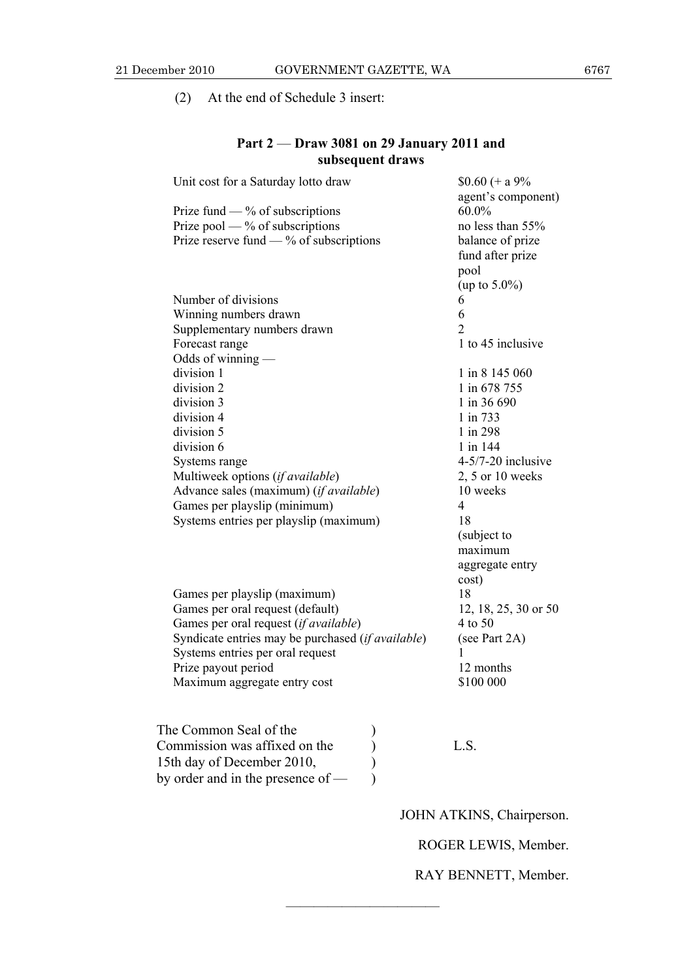(2) At the end of Schedule 3 insert:

## **Part 2** — **Draw 3081 on 29 January 2011 and subsequent draws**

| Unit cost for a Saturday lotto draw                        | $$0.60 (+ a 9\%$<br>agent's component) |
|------------------------------------------------------------|----------------------------------------|
| Prize fund $-$ % of subscriptions                          | $60.0\%$                               |
| Prize pool — $%$ of subscriptions                          | no less than 55%                       |
| Prize reserve fund $-$ % of subscriptions                  |                                        |
|                                                            | balance of prize                       |
|                                                            | fund after prize                       |
|                                                            | pool                                   |
|                                                            | (up to $5.0\%$ )                       |
| Number of divisions                                        | 6                                      |
| Winning numbers drawn                                      | 6                                      |
| Supplementary numbers drawn                                | $\overline{2}$                         |
| Forecast range                                             | 1 to 45 inclusive                      |
| Odds of winning —                                          |                                        |
| division 1                                                 | 1 in 8 145 060                         |
| division 2                                                 | 1 in 678 755                           |
| division 3                                                 | 1 in 36 690                            |
| division 4                                                 | 1 in 733                               |
| division 5                                                 | 1 in 298                               |
| division 6                                                 | 1 in 144                               |
| Systems range                                              | $4-5/7-20$ inclusive                   |
| Multiweek options (if available)                           | $2, 5$ or 10 weeks                     |
| Advance sales (maximum) (if available)                     | 10 weeks                               |
| Games per playslip (minimum)                               | 4                                      |
| Systems entries per playslip (maximum)                     | 18                                     |
|                                                            | (subject to                            |
|                                                            | maximum                                |
|                                                            | aggregate entry                        |
|                                                            | cost)                                  |
| Games per playslip (maximum)                               | 18                                     |
| Games per oral request (default)                           | 12, 18, 25, 30 or 50                   |
| Games per oral request (if available)                      | 4 to 50                                |
| Syndicate entries may be purchased ( <i>if available</i> ) | (see Part 2A)                          |
| Systems entries per oral request                           | 1                                      |
| Prize payout period                                        | 12 months                              |
| Maximum aggregate entry cost                               | \$100 000                              |
|                                                            |                                        |
| The Common Seal of the                                     |                                        |
| Commission was affixed on the                              | L.S.                                   |
|                                                            |                                        |
| 15th day of December 2010,                                 |                                        |
| by order and in the presence of —                          |                                        |

———————————

JOHN ATKINS, Chairperson.

ROGER LEWIS, Member.

RAY BENNETT, Member.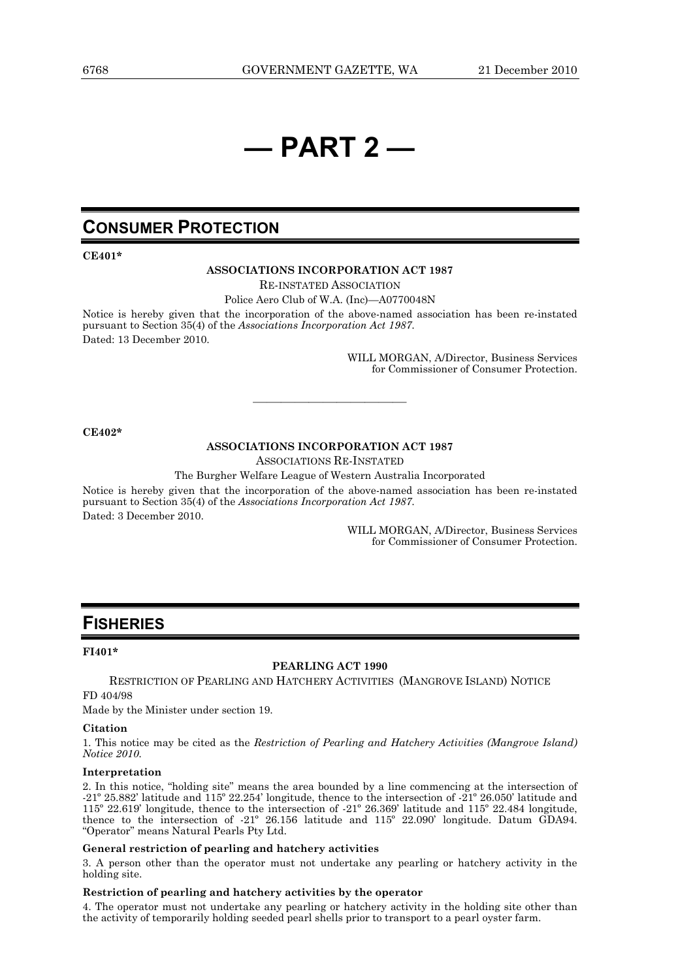# **— PART 2 —**

## **CONSUMER PROTECTION**

#### **CE401\***

#### **ASSOCIATIONS INCORPORATION ACT 1987**

RE-INSTATED ASSOCIATION

Police Aero Club of W.A. (Inc)—A0770048N

Notice is hereby given that the incorporation of the above-named association has been re-instated pursuant to Section 35(4) of the *Associations Incorporation Act 1987*. Dated: 13 December 2010.

> WILL MORGAN, A/Director, Business Services for Commissioner of Consumer Protection.

#### **CE402\***

#### **ASSOCIATIONS INCORPORATION ACT 1987**

———————————

ASSOCIATIONS RE-INSTATED

The Burgher Welfare League of Western Australia Incorporated

Notice is hereby given that the incorporation of the above-named association has been re-instated pursuant to Section 35(4) of the *Associations Incorporation Act 1987*. Dated: 3 December 2010.

> WILL MORGAN, A/Director, Business Services for Commissioner of Consumer Protection.

## **FISHERIES**

#### **FI401\***

#### **PEARLING ACT 1990**

RESTRICTION OF PEARLING AND HATCHERY ACTIVITIES (MANGROVE ISLAND) NOTICE FD 404/98

Made by the Minister under section 19.

#### **Citation**

1. This notice may be cited as the *Restriction of Pearling and Hatchery Activities (Mangrove Island) Notice 2010.* 

#### **Interpretation**

2. In this notice, "holding site" means the area bounded by a line commencing at the intersection of -21º 25.882' latitude and 115º 22.254' longitude, thence to the intersection of -21º 26.050' latitude and 115º 22.619' longitude, thence to the intersection of -21º 26.369' latitude and 115º 22.484 longitude, thence to the intersection of -21º 26.156 latitude and 115º 22.090' longitude. Datum GDA94. "Operator" means Natural Pearls Pty Ltd.

#### **General restriction of pearling and hatchery activities**

3. A person other than the operator must not undertake any pearling or hatchery activity in the holding site.

#### **Restriction of pearling and hatchery activities by the operator**

4. The operator must not undertake any pearling or hatchery activity in the holding site other than the activity of temporarily holding seeded pearl shells prior to transport to a pearl oyster farm.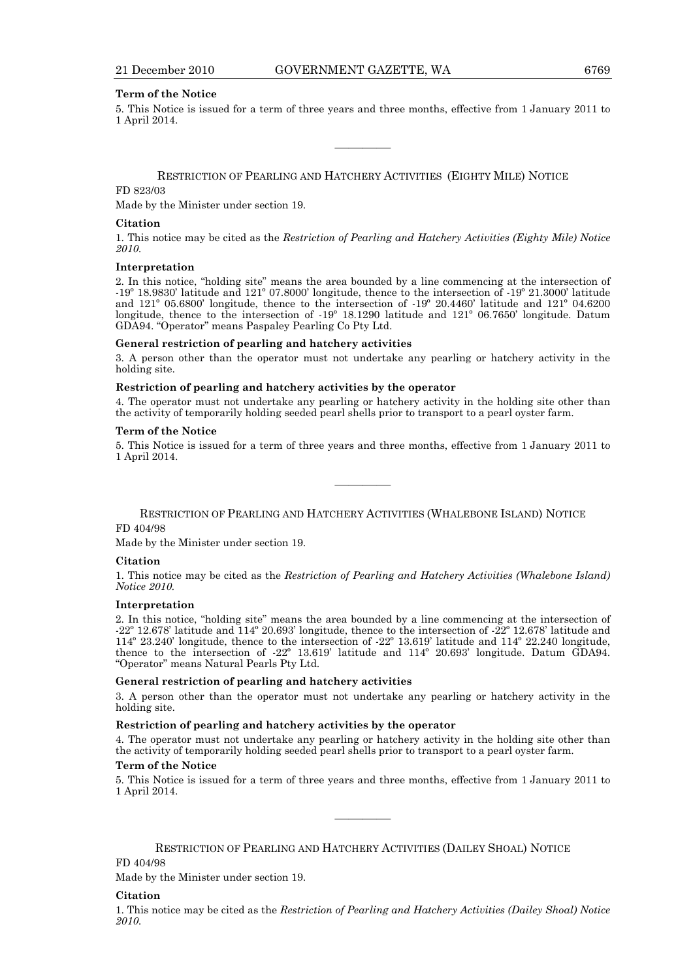#### **Term of the Notice**

5. This Notice is issued for a term of three years and three months, effective from 1 January 2011 to 1 April 2014.

#### RESTRICTION OF PEARLING AND HATCHERY ACTIVITIES (EIGHTY MILE) NOTICE

————

#### FD 823/03

Made by the Minister under section 19.

#### **Citation**

1. This notice may be cited as the *Restriction of Pearling and Hatchery Activities (Eighty Mile) Notice 2010.* 

#### **Interpretation**

2. In this notice, "holding site" means the area bounded by a line commencing at the intersection of -19º 18.9830' latitude and 121º 07.8000' longitude, thence to the intersection of -19º 21.3000' latitude and 121º 05.6800' longitude, thence to the intersection of -19º 20.4460' latitude and 121º 04.6200 longitude, thence to the intersection of -19º 18.1290 latitude and 121º 06.7650' longitude. Datum GDA94. "Operator" means Paspaley Pearling Co Pty Ltd.

#### **General restriction of pearling and hatchery activities**

3. A person other than the operator must not undertake any pearling or hatchery activity in the holding site.

#### **Restriction of pearling and hatchery activities by the operator**

4. The operator must not undertake any pearling or hatchery activity in the holding site other than the activity of temporarily holding seeded pearl shells prior to transport to a pearl oyster farm.

#### **Term of the Notice**

5. This Notice is issued for a term of three years and three months, effective from 1 January 2011 to 1 April 2014.

————

RESTRICTION OF PEARLING AND HATCHERY ACTIVITIES (WHALEBONE ISLAND) NOTICE FD 404/98

Made by the Minister under section 19.

#### **Citation**

1. This notice may be cited as the *Restriction of Pearling and Hatchery Activities (Whalebone Island) Notice 2010.* 

#### **Interpretation**

2. In this notice, "holding site" means the area bounded by a line commencing at the intersection of -22º 12.678' latitude and 114º 20.693' longitude, thence to the intersection of -22º 12.678' latitude and 114º 23.240' longitude, thence to the intersection of -22º 13.619' latitude and 114º 22.240 longitude, thence to the intersection of -22º 13.619' latitude and 114º 20.693' longitude. Datum GDA94. "Operator" means Natural Pearls Pty Ltd.

#### **General restriction of pearling and hatchery activities**

3. A person other than the operator must not undertake any pearling or hatchery activity in the holding site.

#### **Restriction of pearling and hatchery activities by the operator**

4. The operator must not undertake any pearling or hatchery activity in the holding site other than the activity of temporarily holding seeded pearl shells prior to transport to a pearl oyster farm.

#### **Term of the Notice**

5. This Notice is issued for a term of three years and three months, effective from 1 January 2011 to 1 April 2014.

————

RESTRICTION OF PEARLING AND HATCHERY ACTIVITIES (DAILEY SHOAL) NOTICE

FD 404/98

Made by the Minister under section 19.

#### **Citation**

1. This notice may be cited as the *Restriction of Pearling and Hatchery Activities (Dailey Shoal) Notice 2010.*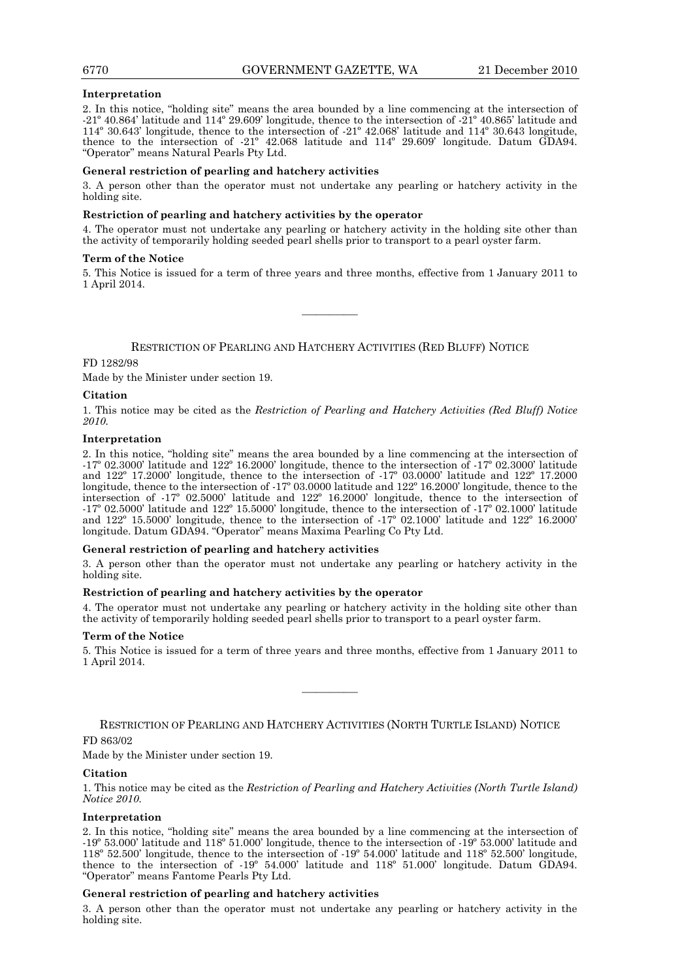#### **Interpretation**

2. In this notice, "holding site" means the area bounded by a line commencing at the intersection of -21º 40.864' latitude and 114º 29.609' longitude, thence to the intersection of -21º 40.865' latitude and 114º 30.643' longitude, thence to the intersection of -21º 42.068' latitude and 114º 30.643 longitude, thence to the intersection of -21º 42.068 latitude and 114º 29.609' longitude. Datum GDA94. "Operator" means Natural Pearls Pty Ltd.

#### **General restriction of pearling and hatchery activities**

3. A person other than the operator must not undertake any pearling or hatchery activity in the holding site.

#### **Restriction of pearling and hatchery activities by the operator**

4. The operator must not undertake any pearling or hatchery activity in the holding site other than the activity of temporarily holding seeded pearl shells prior to transport to a pearl oyster farm.

#### **Term of the Notice**

5. This Notice is issued for a term of three years and three months, effective from 1 January 2011 to 1 April 2014.

————

RESTRICTION OF PEARLING AND HATCHERY ACTIVITIES (RED BLUFF) NOTICE

#### FD 1282/98

Made by the Minister under section 19.

#### **Citation**

1. This notice may be cited as the *Restriction of Pearling and Hatchery Activities (Red Bluff) Notice 2010.* 

#### **Interpretation**

2. In this notice, "holding site" means the area bounded by a line commencing at the intersection of -17º 02.3000' latitude and 122º 16.2000' longitude, thence to the intersection of -17º 02.3000' latitude and 122º 17.2000' longitude, thence to the intersection of -17º 03.0000' latitude and 122º 17.2000 longitude, thence to the intersection of -17º 03.0000 latitude and 122º 16.2000' longitude, thence to the intersection of -17º 02.5000' latitude and 122º 16.2000' longitude, thence to the intersection of -17º 02.5000' latitude and 122º 15.5000' longitude, thence to the intersection of -17º 02.1000' latitude and 122º 15.5000' longitude, thence to the intersection of -17º 02.1000' latitude and 122º 16.2000' longitude. Datum GDA94. "Operator" means Maxima Pearling Co Pty Ltd.

#### **General restriction of pearling and hatchery activities**

3. A person other than the operator must not undertake any pearling or hatchery activity in the holding site.

#### **Restriction of pearling and hatchery activities by the operator**

4. The operator must not undertake any pearling or hatchery activity in the holding site other than the activity of temporarily holding seeded pearl shells prior to transport to a pearl oyster farm.

#### **Term of the Notice**

5. This Notice is issued for a term of three years and three months, effective from 1 January 2011 to 1 April 2014.

————

RESTRICTION OF PEARLING AND HATCHERY ACTIVITIES (NORTH TURTLE ISLAND) NOTICE

#### FD 863/02

Made by the Minister under section 19.

#### **Citation**

1. This notice may be cited as the *Restriction of Pearling and Hatchery Activities (North Turtle Island) Notice 2010.* 

#### **Interpretation**

2. In this notice, "holding site" means the area bounded by a line commencing at the intersection of -19º 53.000' latitude and 118º 51.000' longitude, thence to the intersection of -19º 53.000' latitude and 118º 52.500' longitude, thence to the intersection of -19º 54.000' latitude and 118º 52.500' longitude, thence to the intersection of -19º 54.000' latitude and 118º 51.000' longitude. Datum GDA94. "Operator" means Fantome Pearls Pty Ltd.

#### **General restriction of pearling and hatchery activities**

3. A person other than the operator must not undertake any pearling or hatchery activity in the holding site.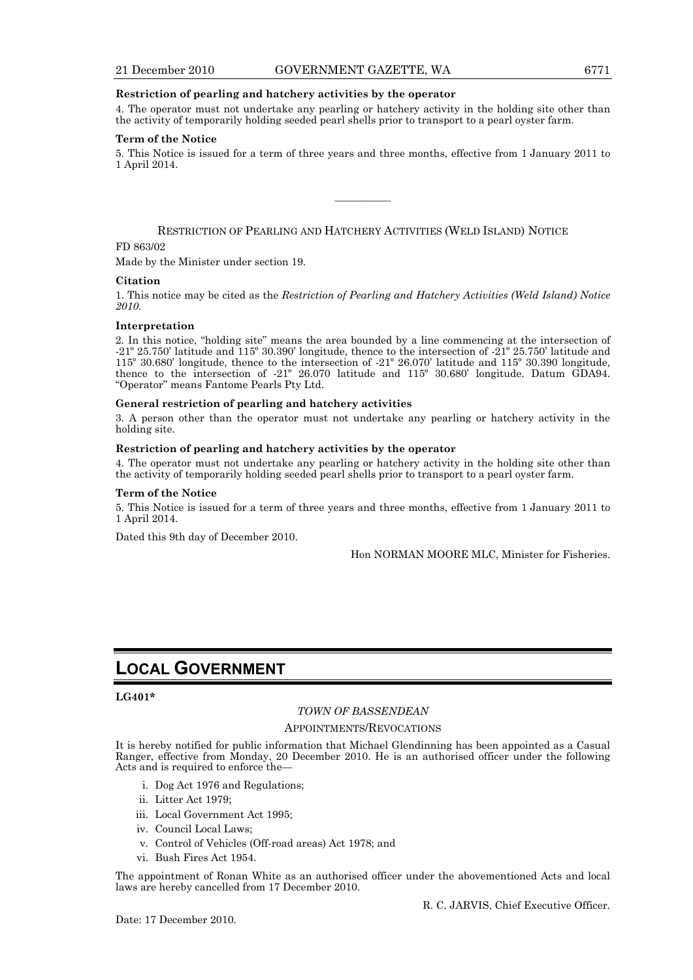#### **Restriction of pearling and hatchery activities by the operator**

4. The operator must not undertake any pearling or hatchery activity in the holding site other than the activity of temporarily holding seeded pearl shells prior to transport to a pearl oyster farm.

#### **Term of the Notice**

5. This Notice is issued for a term of three years and three months, effective from 1 January 2011 to 1 April 2014.

————

RESTRICTION OF PEARLING AND HATCHERY ACTIVITIES (WELD ISLAND) NOTICE

#### FD 863/02

Made by the Minister under section 19.

#### **Citation**

1. This notice may be cited as the *Restriction of Pearling and Hatchery Activities (Weld Island) Notice 2010.* 

#### **Interpretation**

2. In this notice, "holding site" means the area bounded by a line commencing at the intersection of -21º 25.750' latitude and 115º 30.390' longitude, thence to the intersection of -21º 25.750' latitude and 115º 30.680' longitude, thence to the intersection of -21º 26.070' latitude and 115º 30.390 longitude, thence to the intersection of -21º 26.070 latitude and 115º 30.680' longitude. Datum GDA94. "Operator" means Fantome Pearls Pty Ltd.

#### **General restriction of pearling and hatchery activities**

3. A person other than the operator must not undertake any pearling or hatchery activity in the holding site.

#### **Restriction of pearling and hatchery activities by the operator**

4. The operator must not undertake any pearling or hatchery activity in the holding site other than the activity of temporarily holding seeded pearl shells prior to transport to a pearl oyster farm.

#### **Term of the Notice**

5. This Notice is issued for a term of three years and three months, effective from 1 January 2011 to 1 April 2014.

Dated this 9th day of December 2010.

Hon NORMAN MOORE MLC, Minister for Fisheries.

## **LOCAL GOVERNMENT**

#### **LG401\***

#### *TOWN OF BASSENDEAN*

#### APPOINTMENTS/REVOCATIONS

It is hereby notified for public information that Michael Glendinning has been appointed as a Casual Ranger, effective from Monday, 20 December 2010. He is an authorised officer under the following Acts and is required to enforce the—

- i. Dog Act 1976 and Regulations;
- ii. Litter Act 1979;
- iii. Local Government Act 1995;
- iv. Council Local Laws;
- v. Control of Vehicles (Off-road areas) Act 1978; and
- vi. Bush Fires Act 1954.

The appointment of Ronan White as an authorised officer under the abovementioned Acts and local laws are hereby cancelled from 17 December 2010.

Date: 17 December 2010.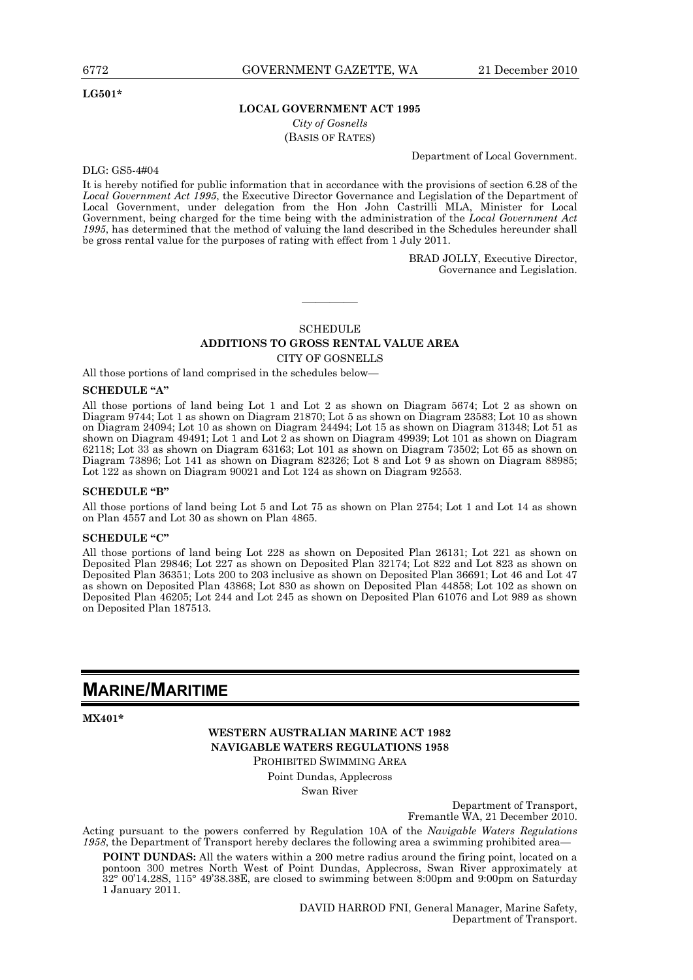#### **LG501\***

#### **LOCAL GOVERNMENT ACT 1995**

*City of Gosnells* 

(BASIS OF RATES)

Department of Local Government.

DLG: GS5-4#04

It is hereby notified for public information that in accordance with the provisions of section 6.28 of the *Local Government Act 1995*, the Executive Director Governance and Legislation of the Department of Local Government, under delegation from the Hon John Castrilli MLA, Minister for Local Government, being charged for the time being with the administration of the *Local Government Act 1995*, has determined that the method of valuing the land described in the Schedules hereunder shall be gross rental value for the purposes of rating with effect from 1 July 2011.

> BRAD JOLLY, Executive Director, Governance and Legislation.

## SCHEDULE **ADDITIONS TO GROSS RENTAL VALUE AREA**

————

CITY OF GOSNELLS

All those portions of land comprised in the schedules below—

#### **SCHEDULE "A"**

All those portions of land being Lot 1 and Lot 2 as shown on Diagram 5674; Lot 2 as shown on Diagram 9744; Lot 1 as shown on Diagram 21870; Lot 5 as shown on Diagram 23583; Lot 10 as shown on Diagram 24094; Lot 10 as shown on Diagram 24494; Lot 15 as shown on Diagram 31348; Lot 51 as shown on Diagram 49491; Lot 1 and Lot 2 as shown on Diagram 49939; Lot 101 as shown on Diagram 62118; Lot 33 as shown on Diagram 63163; Lot 101 as shown on Diagram 73502; Lot 65 as shown on Diagram 73896; Lot 141 as shown on Diagram 82326; Lot 8 and Lot 9 as shown on Diagram 88985; Lot 122 as shown on Diagram 90021 and Lot 124 as shown on Diagram 92553.

#### **SCHEDULE "B"**

All those portions of land being Lot 5 and Lot 75 as shown on Plan 2754; Lot 1 and Lot 14 as shown on Plan 4557 and Lot 30 as shown on Plan 4865.

#### **SCHEDULE "C"**

All those portions of land being Lot 228 as shown on Deposited Plan 26131; Lot 221 as shown on Deposited Plan 29846; Lot 227 as shown on Deposited Plan 32174; Lot 822 and Lot 823 as shown on Deposited Plan 36351; Lots 200 to 203 inclusive as shown on Deposited Plan 36691; Lot 46 and Lot 47 as shown on Deposited Plan 43868; Lot 830 as shown on Deposited Plan 44858; Lot 102 as shown on Deposited Plan 46205; Lot 244 and Lot 245 as shown on Deposited Plan 61076 and Lot 989 as shown on Deposited Plan 187513.

## **MARINE/MARITIME**

**MX401\*** 

**WESTERN AUSTRALIAN MARINE ACT 1982 NAVIGABLE WATERS REGULATIONS 1958**  PROHIBITED SWIMMING AREA

> Point Dundas, Applecross Swan River

> > Department of Transport, Fremantle WA, 21 December 2010.

Acting pursuant to the powers conferred by Regulation 10A of the *Navigable Waters Regulations 1958*, the Department of Transport hereby declares the following area a swimming prohibited area—

**POINT DUNDAS:** All the waters within a 200 metre radius around the firing point, located on a pontoon 300 metres North West of Point Dundas, Applecross, Swan River approximately at 32° 00'14.28S, 115° 49'38.38E, are closed to swimming between 8:00pm and 9:00pm on Saturday 1 January 2011.

> DAVID HARROD FNI, General Manager, Marine Safety, Department of Transport.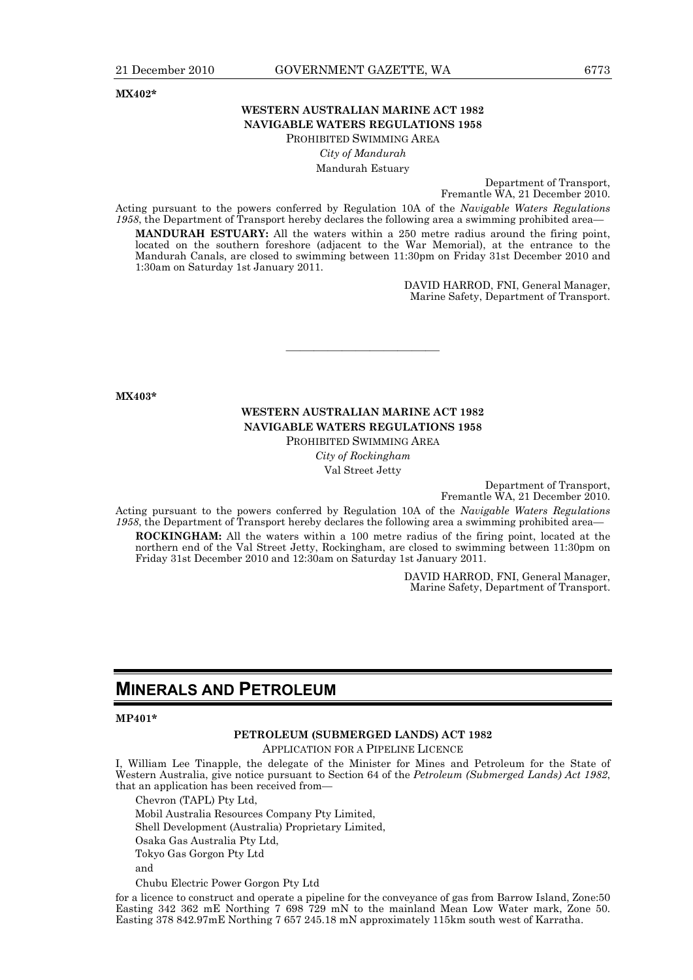**MX402\*** 

#### **WESTERN AUSTRALIAN MARINE ACT 1982 NAVIGABLE WATERS REGULATIONS 1958**  PROHIBITED SWIMMING AREA

*City of Mandurah* Mandurah Estuary

> Department of Transport, Fremantle WA, 21 December 2010.

Acting pursuant to the powers conferred by Regulation 10A of the *Navigable Waters Regulations*  1958, the Department of Transport hereby declares the following area a swimming prohibited area-

**MANDURAH ESTUARY:** All the waters within a 250 metre radius around the firing point, located on the southern foreshore (adjacent to the War Memorial), at the entrance to the Mandurah Canals, are closed to swimming between 11:30pm on Friday 31st December 2010 and 1:30am on Saturday 1st January 2011.

> DAVID HARROD, FNI, General Manager, Marine Safety, Department of Transport.

**MX403\*** 

#### **WESTERN AUSTRALIAN MARINE ACT 1982 NAVIGABLE WATERS REGULATIONS 1958**

———————————

PROHIBITED SWIMMING AREA

*City of Rockingham* Val Street Jetty

> Department of Transport, Fremantle WA, 21 December 2010.

Acting pursuant to the powers conferred by Regulation 10A of the *Navigable Waters Regulations*  1958, the Department of Transport hereby declares the following area a swimming prohibited area-

**ROCKINGHAM:** All the waters within a 100 metre radius of the firing point, located at the northern end of the Val Street Jetty, Rockingham, are closed to swimming between 11:30pm on Friday 31st December 2010 and 12:30am on Saturday 1st January 2011.

> DAVID HARROD, FNI, General Manager, Marine Safety, Department of Transport.

## **MINERALS AND PETROLEUM**

#### **MP401\***

#### **PETROLEUM (SUBMERGED LANDS) ACT 1982**

APPLICATION FOR A PIPELINE LICENCE

I, William Lee Tinapple, the delegate of the Minister for Mines and Petroleum for the State of Western Australia, give notice pursuant to Section 64 of the *Petroleum (Submerged Lands) Act 1982*, that an application has been received from—

Chevron (TAPL) Pty Ltd,

Mobil Australia Resources Company Pty Limited,

Shell Development (Australia) Proprietary Limited,

Osaka Gas Australia Pty Ltd,

Tokyo Gas Gorgon Pty Ltd

and

Chubu Electric Power Gorgon Pty Ltd

for a licence to construct and operate a pipeline for the conveyance of gas from Barrow Island, Zone:50 Easting 342 362 mE Northing 7 698 729 mN to the mainland Mean Low Water mark, Zone 50. Easting 378 842.97mE Northing 7 657 245.18 mN approximately 115km south west of Karratha.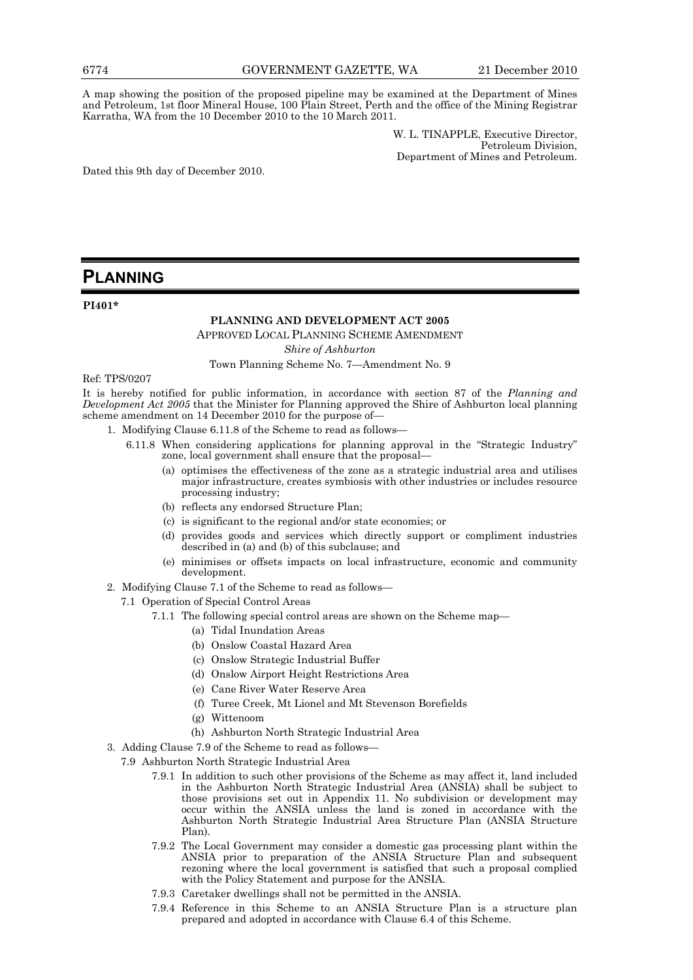A map showing the position of the proposed pipeline may be examined at the Department of Mines and Petroleum, 1st floor Mineral House, 100 Plain Street, Perth and the office of the Mining Registrar Karratha, WA from the 10 December 2010 to the 10 March 2011.

> W. L. TINAPPLE, Executive Director, Petroleum Division, Department of Mines and Petroleum.

Dated this 9th day of December 2010.

## **PLANNING**

**PI401\*** 

#### **PLANNING AND DEVELOPMENT ACT 2005**

APPROVED LOCAL PLANNING SCHEME AMENDMENT

*Shire of Ashburton* 

Town Planning Scheme No. 7—Amendment No. 9

#### Ref: TPS/0207

It is hereby notified for public information, in accordance with section 87 of the *Planning and Development Act 2005* that the Minister for Planning approved the Shire of Ashburton local planning scheme amendment on 14 December 2010 for the purpose of-

- 1. Modifying Clause 6.11.8 of the Scheme to read as follows—
	- 6.11.8 When considering applications for planning approval in the "Strategic Industry" zone, local government shall ensure that the proposal—
		- (a) optimises the effectiveness of the zone as a strategic industrial area and utilises major infrastructure, creates symbiosis with other industries or includes resource processing industry;
		- (b) reflects any endorsed Structure Plan;
		- (c) is significant to the regional and/or state economies; or
		- (d) provides goods and services which directly support or compliment industries described in (a) and (b) of this subclause; and
		- (e) minimises or offsets impacts on local infrastructure, economic and community development.
- 2. Modifying Clause 7.1 of the Scheme to read as follows—
	- 7.1 Operation of Special Control Areas
		- 7.1.1 The following special control areas are shown on the Scheme map—
			- (a) Tidal Inundation Areas
			- (b) Onslow Coastal Hazard Area
			- (c) Onslow Strategic Industrial Buffer
			- (d) Onslow Airport Height Restrictions Area
			- (e) Cane River Water Reserve Area
			- (f) Turee Creek, Mt Lionel and Mt Stevenson Borefields
			- (g) Wittenoom
			- (h) Ashburton North Strategic Industrial Area
- 3. Adding Clause 7.9 of the Scheme to read as follows—
	- 7.9 Ashburton North Strategic Industrial Area
		- 7.9.1 In addition to such other provisions of the Scheme as may affect it, land included in the Ashburton North Strategic Industrial Area (ANSIA) shall be subject to those provisions set out in Appendix 11. No subdivision or development may occur within the ANSIA unless the land is zoned in accordance with the Ashburton North Strategic Industrial Area Structure Plan (ANSIA Structure Plan).
		- 7.9.2 The Local Government may consider a domestic gas processing plant within the ANSIA prior to preparation of the ANSIA Structure Plan and subsequent rezoning where the local government is satisfied that such a proposal complied with the Policy Statement and purpose for the ANSIA.
		- 7.9.3 Caretaker dwellings shall not be permitted in the ANSIA.
		- 7.9.4 Reference in this Scheme to an ANSIA Structure Plan is a structure plan prepared and adopted in accordance with Clause 6.4 of this Scheme.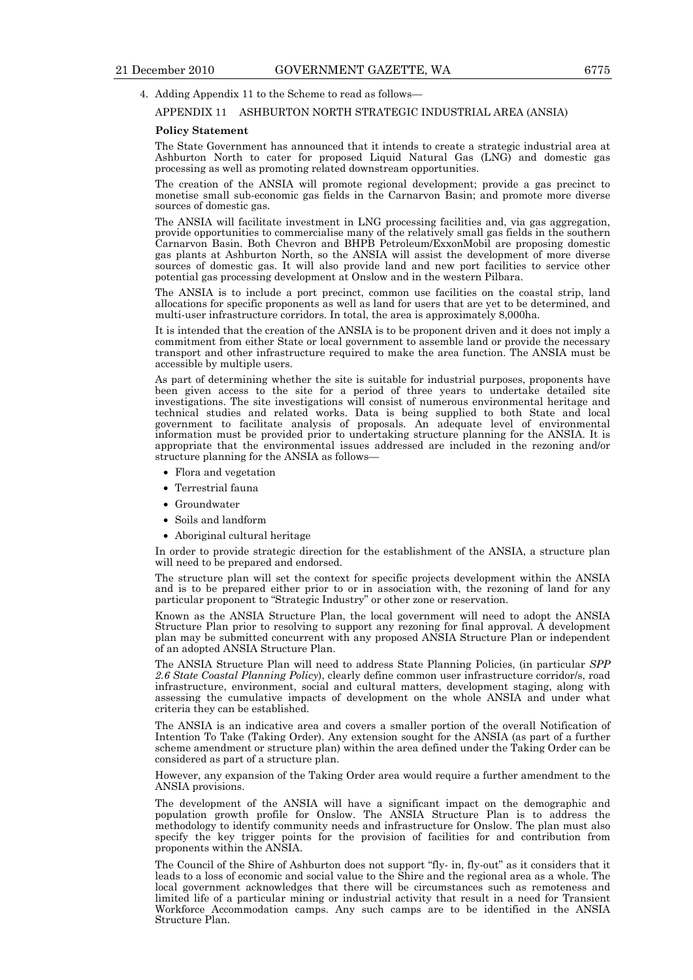#### APPENDIX 11 ASHBURTON NORTH STRATEGIC INDUSTRIAL AREA (ANSIA)

#### **Policy Statement**

The State Government has announced that it intends to create a strategic industrial area at Ashburton North to cater for proposed Liquid Natural Gas (LNG) and domestic gas processing as well as promoting related downstream opportunities.

The creation of the ANSIA will promote regional development; provide a gas precinct to monetise small sub-economic gas fields in the Carnarvon Basin; and promote more diverse sources of domestic gas.

The ANSIA will facilitate investment in LNG processing facilities and, via gas aggregation, provide opportunities to commercialise many of the relatively small gas fields in the southern Carnarvon Basin. Both Chevron and BHPB Petroleum/ExxonMobil are proposing domestic gas plants at Ashburton North, so the ANSIA will assist the development of more diverse sources of domestic gas. It will also provide land and new port facilities to service other potential gas processing development at Onslow and in the western Pilbara.

The ANSIA is to include a port precinct, common use facilities on the coastal strip, land allocations for specific proponents as well as land for users that are yet to be determined, and multi-user infrastructure corridors. In total, the area is approximately 8,000ha.

It is intended that the creation of the ANSIA is to be proponent driven and it does not imply a commitment from either State or local government to assemble land or provide the necessary transport and other infrastructure required to make the area function. The ANSIA must be accessible by multiple users.

As part of determining whether the site is suitable for industrial purposes, proponents have been given access to the site for a period of three years to undertake detailed site investigations. The site investigations will consist of numerous environmental heritage and technical studies and related works. Data is being supplied to both State and local government to facilitate analysis of proposals. An adequate level of environmental information must be provided prior to undertaking structure planning for the ANSIA. It is appropriate that the environmental issues addressed are included in the rezoning and/or structure planning for the ANSIA as follows—

- Flora and vegetation
- Terrestrial fauna
- Groundwater
- Soils and landform
- Aboriginal cultural heritage

In order to provide strategic direction for the establishment of the ANSIA, a structure plan will need to be prepared and endorsed.

The structure plan will set the context for specific projects development within the ANSIA and is to be prepared either prior to or in association with, the rezoning of land for any particular proponent to "Strategic Industry" or other zone or reservation.

Known as the ANSIA Structure Plan, the local government will need to adopt the ANSIA Structure Plan prior to resolving to support any rezoning for final approval. A development plan may be submitted concurrent with any proposed ANSIA Structure Plan or independent of an adopted ANSIA Structure Plan.

The ANSIA Structure Plan will need to address State Planning Policies, (in particular *SPP 2.6 State Coastal Planning Policy*), clearly define common user infrastructure corridor/s, road infrastructure, environment, social and cultural matters, development staging, along with assessing the cumulative impacts of development on the whole ANSIA and under what criteria they can be established.

The ANSIA is an indicative area and covers a smaller portion of the overall Notification of Intention To Take (Taking Order). Any extension sought for the ANSIA (as part of a further scheme amendment or structure plan) within the area defined under the Taking Order can be considered as part of a structure plan.

However, any expansion of the Taking Order area would require a further amendment to the ANSIA provisions.

The development of the ANSIA will have a significant impact on the demographic and population growth profile for Onslow. The ANSIA Structure Plan is to address the methodology to identify community needs and infrastructure for Onslow. The plan must also specify the key trigger points for the provision of facilities for and contribution from proponents within the ANSIA.

The Council of the Shire of Ashburton does not support "fly- in, fly-out" as it considers that it leads to a loss of economic and social value to the Shire and the regional area as a whole. The local government acknowledges that there will be circumstances such as remoteness and limited life of a particular mining or industrial activity that result in a need for Transient Workforce Accommodation camps. Any such camps are to be identified in the ANSIA Structure Plan.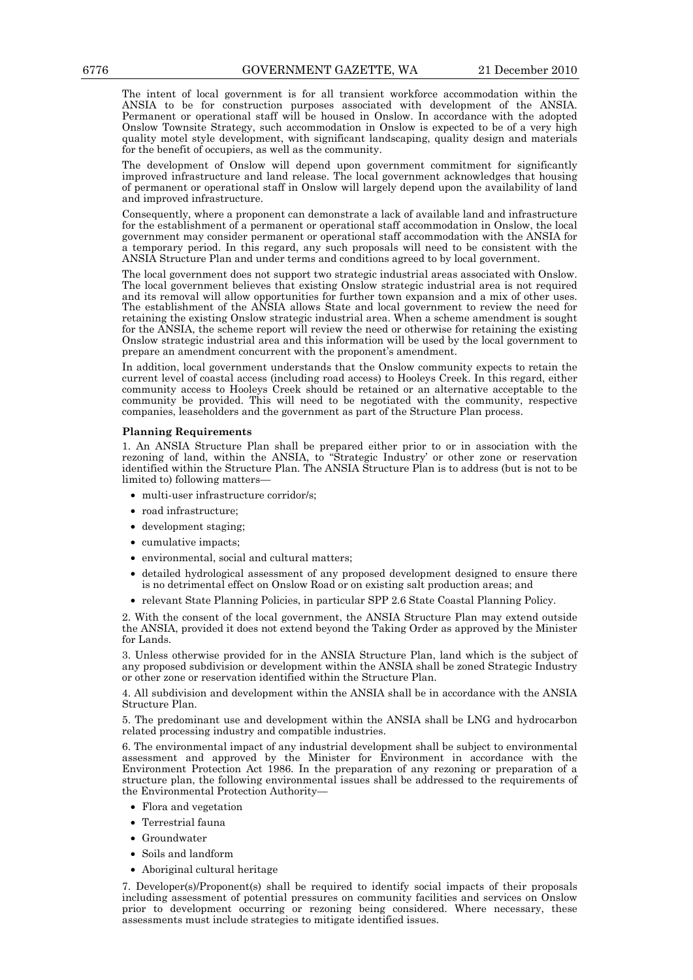The intent of local government is for all transient workforce accommodation within the ANSIA to be for construction purposes associated with development of the ANSIA. Permanent or operational staff will be housed in Onslow. In accordance with the adopted Onslow Townsite Strategy, such accommodation in Onslow is expected to be of a very high quality motel style development, with significant landscaping, quality design and materials for the benefit of occupiers, as well as the community.

The development of Onslow will depend upon government commitment for significantly improved infrastructure and land release. The local government acknowledges that housing of permanent or operational staff in Onslow will largely depend upon the availability of land and improved infrastructure.

Consequently, where a proponent can demonstrate a lack of available land and infrastructure for the establishment of a permanent or operational staff accommodation in Onslow, the local government may consider permanent or operational staff accommodation with the ANSIA for a temporary period. In this regard, any such proposals will need to be consistent with the ANSIA Structure Plan and under terms and conditions agreed to by local government.

The local government does not support two strategic industrial areas associated with Onslow. The local government believes that existing Onslow strategic industrial area is not required and its removal will allow opportunities for further town expansion and a mix of other uses. The establishment of the ANSIA allows State and local government to review the need for retaining the existing Onslow strategic industrial area. When a scheme amendment is sought for the ANSIA, the scheme report will review the need or otherwise for retaining the existing Onslow strategic industrial area and this information will be used by the local government to prepare an amendment concurrent with the proponent's amendment.

In addition, local government understands that the Onslow community expects to retain the current level of coastal access (including road access) to Hooleys Creek. In this regard, either community access to Hooleys Creek should be retained or an alternative acceptable to the community be provided. This will need to be negotiated with the community, respective companies, leaseholders and the government as part of the Structure Plan process.

#### **Planning Requirements**

1. An ANSIA Structure Plan shall be prepared either prior to or in association with the rezoning of land, within the ANSIA, to "Strategic Industry' or other zone or reservation identified within the Structure Plan. The ANSIA Structure Plan is to address (but is not to be limited to) following matters—

- multi-user infrastructure corridor/s;
- road infrastructure:
- development staging;
- cumulative impacts;
- environmental, social and cultural matters;
- detailed hydrological assessment of any proposed development designed to ensure there is no detrimental effect on Onslow Road or on existing salt production areas; and
- relevant State Planning Policies, in particular SPP 2.6 State Coastal Planning Policy.

2. With the consent of the local government, the ANSIA Structure Plan may extend outside the ANSIA, provided it does not extend beyond the Taking Order as approved by the Minister for Lands.

3. Unless otherwise provided for in the ANSIA Structure Plan, land which is the subject of any proposed subdivision or development within the ANSIA shall be zoned Strategic Industry or other zone or reservation identified within the Structure Plan.

4. All subdivision and development within the ANSIA shall be in accordance with the ANSIA Structure Plan.

5. The predominant use and development within the ANSIA shall be LNG and hydrocarbon related processing industry and compatible industries.

6. The environmental impact of any industrial development shall be subject to environmental assessment and approved by the Minister for Environment in accordance with the Environment Protection Act 1986. In the preparation of any rezoning or preparation of a structure plan, the following environmental issues shall be addressed to the requirements of the Environmental Protection Authority—

- Flora and vegetation
- Terrestrial fauna
- Groundwater
- Soils and landform
- Aboriginal cultural heritage

7. Developer(s)/Proponent(s) shall be required to identify social impacts of their proposals including assessment of potential pressures on community facilities and services on Onslow prior to development occurring or rezoning being considered. Where necessary, these assessments must include strategies to mitigate identified issues.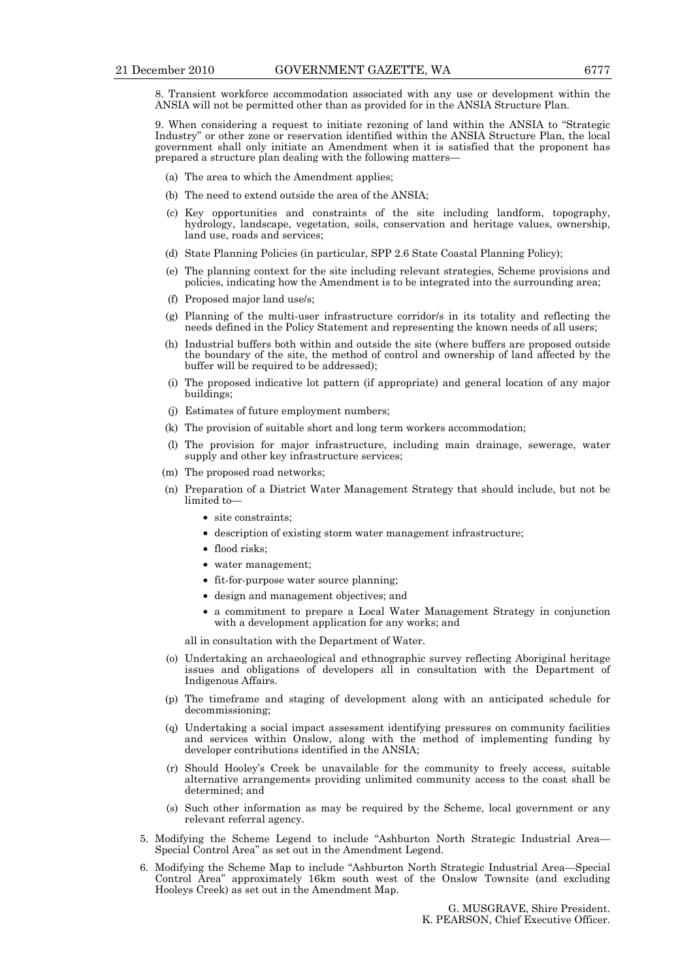8. Transient workforce accommodation associated with any use or development within the ANSIA will not be permitted other than as provided for in the ANSIA Structure Plan.

9. When considering a request to initiate rezoning of land within the ANSIA to "Strategic Industry" or other zone or reservation identified within the ANSIA Structure Plan, the local government shall only initiate an Amendment when it is satisfied that the proponent has prepared a structure plan dealing with the following matters—

- (a) The area to which the Amendment applies;
- (b) The need to extend outside the area of the ANSIA;
- (c) Key opportunities and constraints of the site including landform, topography, hydrology, landscape, vegetation, soils, conservation and heritage values, ownership, land use, roads and services;
- (d) State Planning Policies (in particular, SPP 2.6 State Coastal Planning Policy);
- (e) The planning context for the site including relevant strategies, Scheme provisions and policies, indicating how the Amendment is to be integrated into the surrounding area;
- (f) Proposed major land use/s;
- (g) Planning of the multi-user infrastructure corridor/s in its totality and reflecting the needs defined in the Policy Statement and representing the known needs of all users;
- (h) Industrial buffers both within and outside the site (where buffers are proposed outside the boundary of the site, the method of control and ownership of land affected by the buffer will be required to be addressed);
- (i) The proposed indicative lot pattern (if appropriate) and general location of any major buildings;
- (j) Estimates of future employment numbers;
- (k) The provision of suitable short and long term workers accommodation;
- (l) The provision for major infrastructure, including main drainage, sewerage, water supply and other key infrastructure services;
- (m) The proposed road networks;
- (n) Preparation of a District Water Management Strategy that should include, but not be limited to—
	- site constraints:
	- description of existing storm water management infrastructure;
	- flood risks;
	- water management;
	- fit-for-purpose water source planning;
	- design and management objectives; and
	- a commitment to prepare a Local Water Management Strategy in conjunction with a development application for any works; and

all in consultation with the Department of Water.

- (o) Undertaking an archaeological and ethnographic survey reflecting Aboriginal heritage issues and obligations of developers all in consultation with the Department of Indigenous Affairs.
- (p) The timeframe and staging of development along with an anticipated schedule for decommissioning;
- (q) Undertaking a social impact assessment identifying pressures on community facilities and services within Onslow, along with the method of implementing funding by developer contributions identified in the ANSIA;
- (r) Should Hooley's Creek be unavailable for the community to freely access, suitable alternative arrangements providing unlimited community access to the coast shall be determined; and
- (s) Such other information as may be required by the Scheme, local government or any relevant referral agency.
- 5. Modifying the Scheme Legend to include "Ashburton North Strategic Industrial Area— Special Control Area" as set out in the Amendment Legend.
- 6. Modifying the Scheme Map to include "Ashburton North Strategic Industrial Area—Special Control Area" approximately 16km south west of the Onslow Townsite (and excluding Hooleys Creek) as set out in the Amendment Map.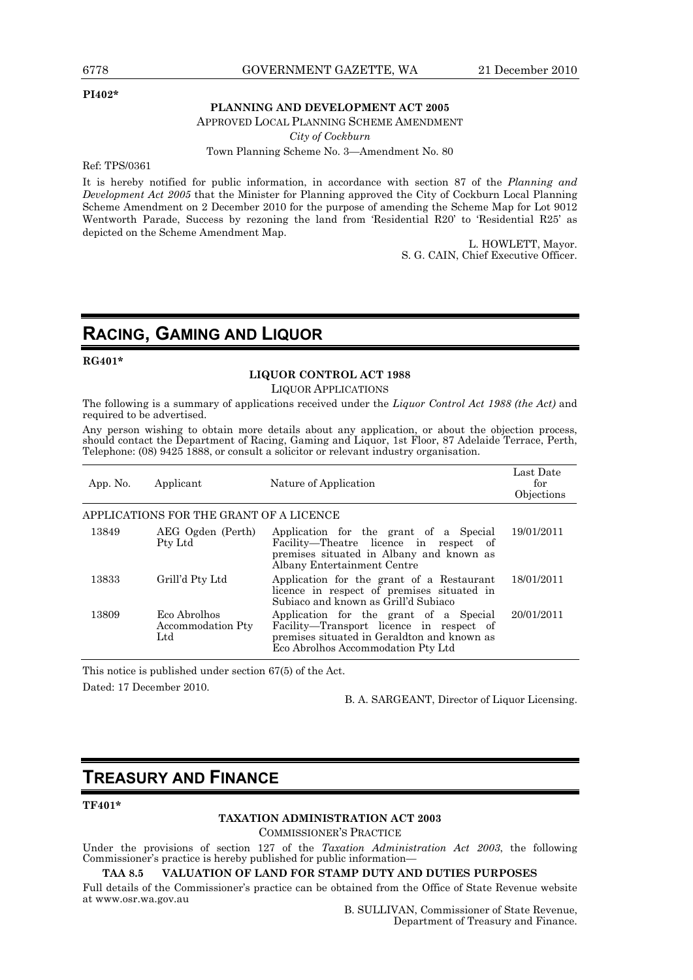#### **PI402\***

#### **PLANNING AND DEVELOPMENT ACT 2005**

APPROVED LOCAL PLANNING SCHEME AMENDMENT

*City of Cockburn* 

Town Planning Scheme No. 3—Amendment No. 80

Ref: TPS/0361

It is hereby notified for public information, in accordance with section 87 of the *Planning and Development Act 2005* that the Minister for Planning approved the City of Cockburn Local Planning Scheme Amendment on 2 December 2010 for the purpose of amending the Scheme Map for Lot 9012 Wentworth Parade, Success by rezoning the land from 'Residential R20' to 'Residential R25' as depicted on the Scheme Amendment Map.

> L. HOWLETT, Mayor. S. G. CAIN, Chief Executive Officer.

## **RACING, GAMING AND LIQUOR**

**RG401\*** 

#### **LIQUOR CONTROL ACT 1988**

LIQUOR APPLICATIONS

The following is a summary of applications received under the *Liquor Control Act 1988 (the Act)* and required to be advertised.

Any person wishing to obtain more details about any application, or about the objection process, should contact the Department of Racing, Gaming and Liquor, 1st Floor, 87 Adelaide Terrace, Perth, Telephone: (08) 9425 1888, or consult a solicitor or relevant industry organisation.

| App. No. | Applicant                                | Nature of Application                                                                                                                                                   | Last Date<br>for<br>Objections |
|----------|------------------------------------------|-------------------------------------------------------------------------------------------------------------------------------------------------------------------------|--------------------------------|
|          | APPLICATIONS FOR THE GRANT OF A LICENCE  |                                                                                                                                                                         |                                |
| 13849    | AEG Ogden (Perth)<br>Pty Ltd             | Application for the grant of a Special<br>Facility—Theatre licence in respect of<br>premises situated in Albany and known as<br>Albany Entertainment Centre             | 19/01/2011                     |
| 13833    | Grill'd Pty Ltd                          | Application for the grant of a Restaurant<br>licence in respect of premises situated in<br>Subiaco and known as Grill'd Subiaco                                         | 18/01/2011                     |
| 13809    | Eco Abrolhos<br>Accommodation Pty<br>Ltd | Application for the grant of a Special<br>Facility-Transport licence in respect of<br>premises situated in Geraldton and known as<br>Eco Abrolhos Accommodation Pty Ltd | 20/01/2011                     |

This notice is published under section 67(5) of the Act. Dated: 17 December 2010.

B. A. SARGEANT, Director of Liquor Licensing.

## **TREASURY AND FINANCE**

#### **TF401\***

#### **TAXATION ADMINISTRATION ACT 2003**

COMMISSIONER'S PRACTICE

Under the provisions of section 127 of the *Taxation Administration Act 2003*, the following Commissioner's practice is hereby published for public information—

#### **TAA 8.5 VALUATION OF LAND FOR STAMP DUTY AND DUTIES PURPOSES**

Full details of the Commissioner's practice can be obtained from the Office of State Revenue website at www.osr.wa.gov.au

B. SULLIVAN, Commissioner of State Revenue, Department of Treasury and Finance.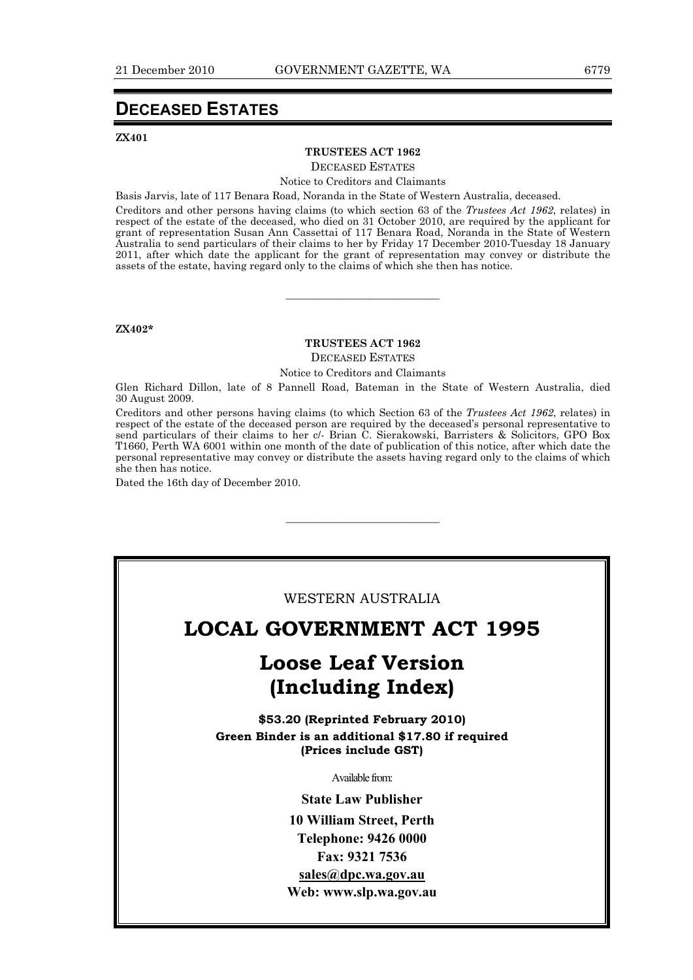## **DECEASED ESTATES**

#### **ZX401**

#### **TRUSTEES ACT 1962**

DECEASED ESTATES

Notice to Creditors and Claimants

Basis Jarvis, late of 117 Benara Road, Noranda in the State of Western Australia, deceased.

Creditors and other persons having claims (to which section 63 of the *Trustees Act 1962*, relates) in respect of the estate of the deceased, who died on 31 October 2010, are required by the applicant for grant of representation Susan Ann Cassettai of 117 Benara Road, Noranda in the State of Western Australia to send particulars of their claims to her by Friday 17 December 2010-Tuesday 18 January 2011, after which date the applicant for the grant of representation may convey or distribute the assets of the estate, having regard only to the claims of which she then has notice.

**ZX402\*** 

#### **TRUSTEES ACT 1962**

———————————

DECEASED ESTATES

Notice to Creditors and Claimants

Glen Richard Dillon, late of 8 Pannell Road, Bateman in the State of Western Australia, died 30 August 2009.

Creditors and other persons having claims (to which Section 63 of the *Trustees Act 1962*, relates) in respect of the estate of the deceased person are required by the deceased's personal representative to send particulars of their claims to her c/- Brian C. Sierakowski, Barristers & Solicitors, GPO Box T1660, Perth WA 6001 within one month of the date of publication of this notice, after which date the personal representative may convey or distribute the assets having regard only to the claims of which she then has notice.

———————————

Dated the 16th day of December 2010.

#### WESTERN AUSTRALIA

## **LOCAL GOVERNMENT ACT 1995**

## **Loose Leaf Version (Including Index)**

**\$53.20 (Reprinted February 2010) Green Binder is an additional \$17.80 if required (Prices include GST)**

Available from:

**State Law Publisher 10 William Street, Perth Telephone: 9426 0000 Fax: 9321 7536 sales@dpc.wa.gov.au Web: www.slp.wa.gov.au**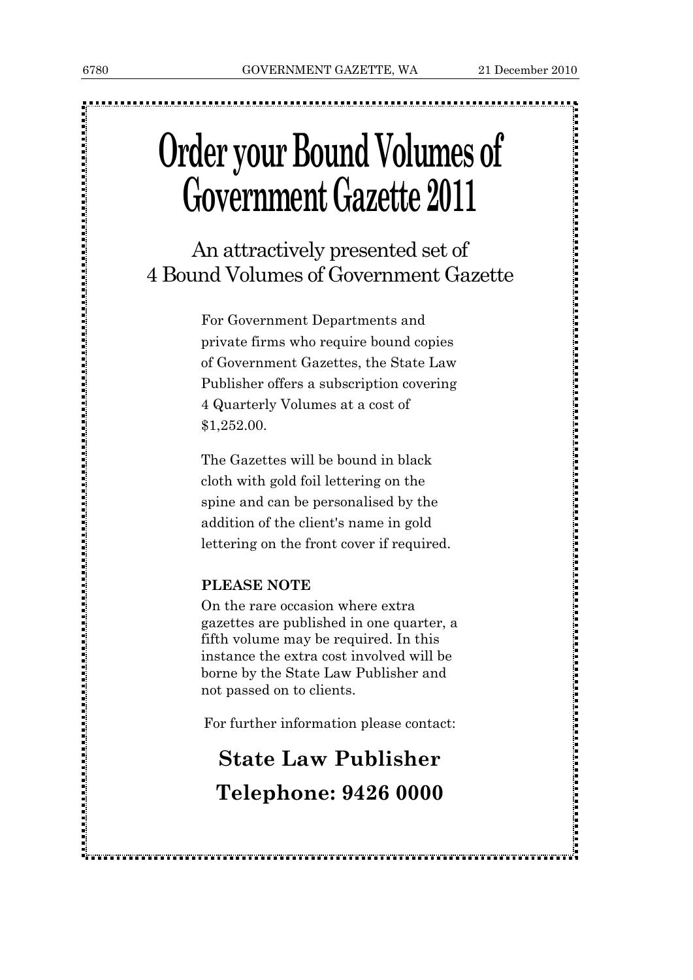# **Order your Bound Volumes of Government Gazette 2011**

## An attractively presented set of 4 Bound Volumes of Government Gazette

For Government Departments and private firms who require bound copies of Government Gazettes, the State Law Publisher offers a subscription covering 4 Quarterly Volumes at a cost of \$1,252.00.

The Gazettes will be bound in black cloth with gold foil lettering on the spine and can be personalised by the addition of the client's name in gold lettering on the front cover if required.

## **PLEASE NOTE**

On the rare occasion where extra gazettes are published in one quarter, a fifth volume may be required. In this instance the extra cost involved will be borne by the State Law Publisher and not passed on to clients.

For further information please contact:

# **State Law Publisher Telephone: 9426 0000**

,我们的人们也就是我们的人们的人们的人们,我们也不能会让我们的人们,我们也不能会让我们的人们的人们的人们,我们也不能会让我们的人们的人们,我们也不能会让我们的人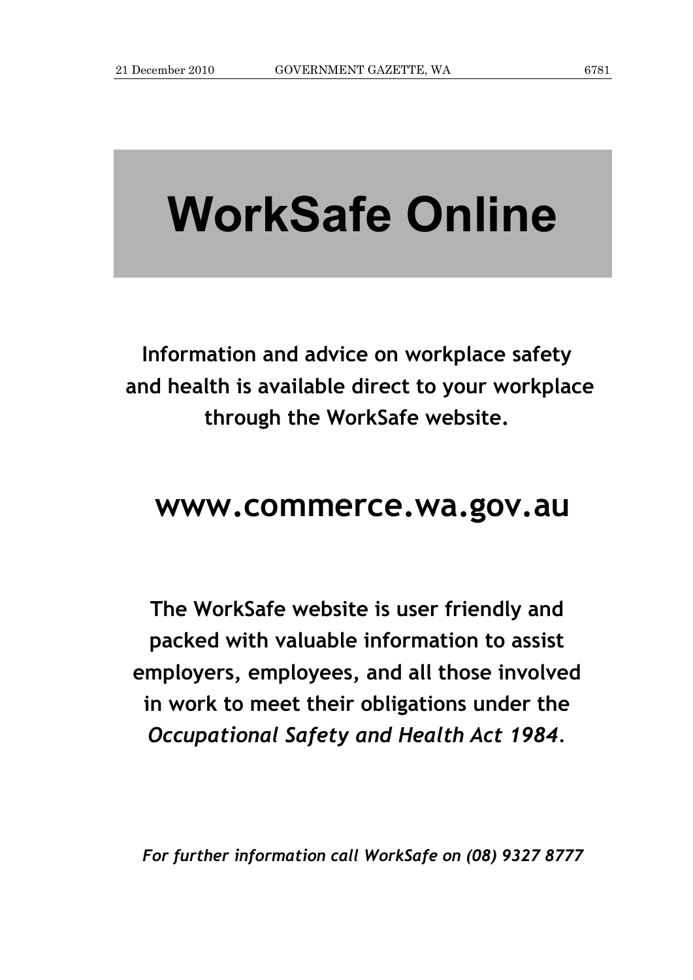# **WorkSafe Online**

**Information and advice on workplace safety and health is available direct to your workplace through the WorkSafe website.** 

# **www.commerce.wa.gov.au**

**The WorkSafe website is user friendly and packed with valuable information to assist employers, employees, and all those involved in work to meet their obligations under the**  *Occupational Safety and Health Act 1984.*

*For further information call WorkSafe on (08) 9327 8777*